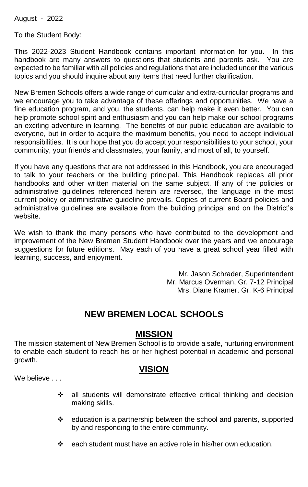August - 2022

To the Student Body:

This 2022-2023 Student Handbook contains important information for you. In this handbook are many answers to questions that students and parents ask. You are expected to be familiar with all policies and regulations that are included under the various topics and you should inquire about any items that need further clarification.

New Bremen Schools offers a wide range of curricular and extra-curricular programs and we encourage you to take advantage of these offerings and opportunities. We have a fine education program, and you, the students, can help make it even better. You can help promote school spirit and enthusiasm and you can help make our school programs an exciting adventure in learning. The benefits of our public education are available to everyone, but in order to acquire the maximum benefits, you need to accept individual responsibilities. It is our hope that you do accept your responsibilities to your school, your community, your friends and classmates, your family, and most of all, to yourself.

If you have any questions that are not addressed in this Handbook, you are encouraged to talk to your teachers or the building principal. This Handbook replaces all prior handbooks and other written material on the same subject. If any of the policies or administrative guidelines referenced herein are reversed, the language in the most current policy or administrative guideline prevails. Copies of current Board policies and administrative guidelines are available from the building principal and on the District's website.

We wish to thank the many persons who have contributed to the development and improvement of the New Bremen Student Handbook over the years and we encourage suggestions for future editions. May each of you have a great school year filled with learning, success, and enjoyment.

> Mr. Jason Schrader, Superintendent Mr. Marcus Overman, Gr. 7-12 Principal Mrs. Diane Kramer, Gr. K-6 Principal

## **NEW BREMEN LOCAL SCHOOLS**

## **MISSION**

The mission statement of New Bremen School is to provide a safe, nurturing environment to enable each student to reach his or her highest potential in academic and personal growth.

## **VISION**

We believe ...

- ❖ all students will demonstrate effective critical thinking and decision making skills.
- ❖ education is a partnership between the school and parents, supported by and responding to the entire community.
- ❖ each student must have an active role in his/her own education.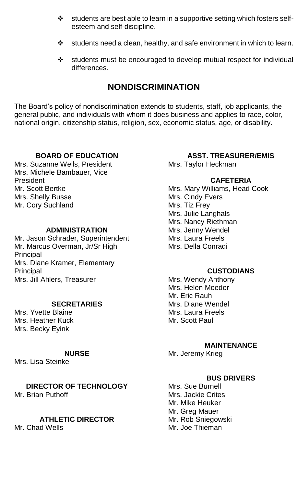- ❖ students are best able to learn in a supportive setting which fosters selfesteem and self-discipline.
- $\div$  students need a clean, healthy, and safe environment in which to learn.
- ❖ students must be encouraged to develop mutual respect for individual differences.

## **NONDISCRIMINATION**

The Board's policy of nondiscrimination extends to students, staff, job applicants, the general public, and individuals with whom it does business and applies to race, color, national origin, citizenship status, religion, sex, economic status, age, or disability.

#### **BOARD OF EDUCATION**

Mrs. Suzanne Wells, President Mrs. Michele Bambauer, Vice President Mr. Scott Bertke Mrs. Shelly Busse Mr. Cory Suchland

#### **ADMINISTRATION**

Mr. Jason Schrader, Superintendent Mr. Marcus Overman, Jr/Sr High **Principal** Mrs. Diane Kramer, Elementary **Principal** Mrs. Jill Ahlers, Treasurer

#### **SECRETARIES**

Mrs. Yvette Blaine Mrs. Heather Kuck Mrs. Becky Eyink

#### **NURSE**

Mrs. Lisa Steinke

**DIRECTOR OF TECHNOLOGY** Mr. Brian Puthoff

#### **ATHLETIC DIRECTOR**

Mr. Chad Wells

#### **ASST. TREASURER/EMIS** Mrs. Taylor Heckman

#### **CAFETERIA**

Mrs. Mary Williams, Head Cook Mrs. Cindy Evers Mrs. Tiz Frey Mrs. Julie Langhals Mrs. Nancy Riethman Mrs. Jenny Wendel Mrs. Laura Freels Mrs. Della Conradi

#### **CUSTODIANS**

Mrs. Wendy Anthony Mrs. Helen Moeder Mr. Eric Rauh Mrs. Diane Wendel Mrs. Laura Freels Mr. Scott Paul

#### **MAINTENANCE**

Mr. Jeremy Krieg

#### **BUS DRIVERS**

Mrs. Sue Burnell Mrs. Jackie Crites Mr. Mike Heuker Mr. Greg Mauer Mr. Rob Sniegowski Mr. Joe Thieman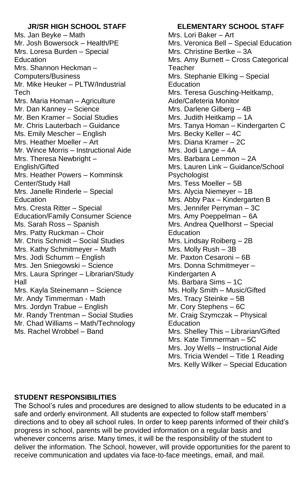### **JR/SR HIGH SCHOOL STAFF**

Ms. Jan Beyke – Math Mr. Josh Bowersock – Health/PE Mrs. Loresa Burden – Special Education Mrs. Shannon Heckman – Computers/Business Mr. Mike Heuker – PLTW/Industrial **Tech** Mrs. Maria Homan – Agriculture Mr. Dan Kanney – Science Mr. Ben Kramer – Social Studies Mr. Chris Lauterbach – Guidance Ms. Emily Mescher – English Mrs. Heather Moeller – Art Mr. Wince Morris – Instructional Aide Mrs. Theresa Newbright – English/Gifted Mrs. Heather Powers – Komminsk Center/Study Hall Mrs. Janelle Rinderle – Special **Education** Mrs. Cresta Ritter – Special Education/Family Consumer Science Ms. Sarah Ross – Spanish Mrs. Patty Ruckman – Choir Mr. Chris Schmidt – Social Studies Mrs. Kathy Schmitmeyer – Math Mrs. Jodi Schumm – English Mrs. Jen Sniegowski – Science Mrs. Laura Springer – Librarian/Study Hall Mrs. Kayla Steinemann – Science Mr. Andy Timmerman - Math Mrs. Jordyn Trabue – English Mr. Randy Trentman – Social Studies Mr. Chad Williams – Math/Technology Ms. Rachel Wrobbel – Band

## **ELEMENTARY SCHOOL STAFF**

Mrs. Lori Baker – Art Mrs. Veronica Bell – Special Education Mrs. Christine Bertke – 3A Mrs. Amy Burnett – Cross Categorical **Teacher** Mrs. Stephanie Elking – Special **Education** Mrs. Teresa Gusching-Heitkamp, Aide/Cafeteria Monitor Mrs. Darlene Gilberg – 4B Mrs. Judith Heitkamp – 1A Mrs. Tanya Homan – Kindergarten C Mrs. Becky Keller – 4C Mrs. Diana Kramer – 2C Mrs. Jodi Lange – 4A Mrs. Barbara Lemmon – 2A Mrs. Lauren Link – Guidance/School Psychologist Mrs. Tess Moeller – 5B Mrs. Alycia Niemeyer – 1B Mrs. Abby Pax – Kindergarten B Mrs. Jennifer Perryman – 3C Mrs. Amy Poeppelman – 6A Mrs. Andrea Quellhorst – Special **Education** Mrs. Lindsay Roiberg – 2B Mrs. Molly Rush – 3B Mr. Paxton Cesaroni – 6B Mrs. Donna Schmitmeyer – Kindergarten A Ms. Barbara Sims – 1C Ms. Holly Smith – Music/Gifted Mrs. Tracy Steinke – 5B Mr. Cory Stephens – 6C Mr. Craig Szymczak – Physical Education Mrs. Shelley This – Librarian/Gifted Mrs. Kate Timmerman – 5C Mrs. Joy Wells – Instructional Aide Mrs. Tricia Wendel – Title 1 Reading Mrs. Kelly Wilker – Special Education

## **STUDENT RESPONSIBILITIES**

The School's rules and procedures are designed to allow students to be educated in a safe and orderly environment. All students are expected to follow staff members' directions and to obey all school rules. In order to keep parents informed of their child's progress in school, parents will be provided information on a regular basis and whenever concerns arise. Many times, it will be the responsibility of the student to deliver the information. The School, however, will provide opportunities for the parent to receive communication and updates via face-to-face meetings, email, and mail.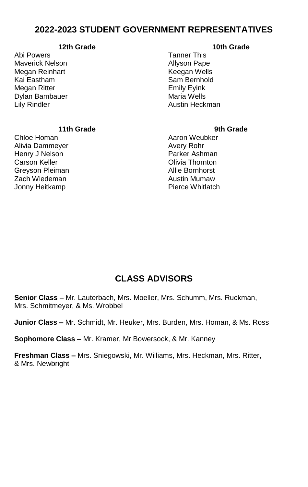## **2022-2023 STUDENT GOVERNMENT REPRESENTATIVES**

#### **12th Grade**

Abi Powers Maverick Nelson Megan Reinhart Kai Eastham Megan Ritter Dylan Bambauer Lily Rindler

#### **10th Grade**

Tanner This Allyson Pape Keegan Wells Sam Bernhold Emily Eyink Maria Wells Austin Heckman

#### **11th Grade**

Chloe Homan Alivia Dammeyer Henry J Nelson Carson Keller Greyson Pleiman Zach Wiedeman Jonny Heitkamp

#### **9th Grade**

Aaron Weubker Avery Rohr Parker Ashman Olivia Thornton Allie Bornhorst Austin Mumaw Pierce Whitlatch

## **CLASS ADVISORS**

**Senior Class –** Mr. Lauterbach, Mrs. Moeller, Mrs. Schumm, Mrs. Ruckman, Mrs. Schmitmeyer, & Ms. Wrobbel

**Junior Class –** Mr. Schmidt, Mr. Heuker, Mrs. Burden, Mrs. Homan, & Ms. Ross

**Sophomore Class –** Mr. Kramer, Mr Bowersock, & Mr. Kanney

**Freshman Class –** Mrs. Sniegowski, Mr. Williams, Mrs. Heckman, Mrs. Ritter, & Mrs. Newbright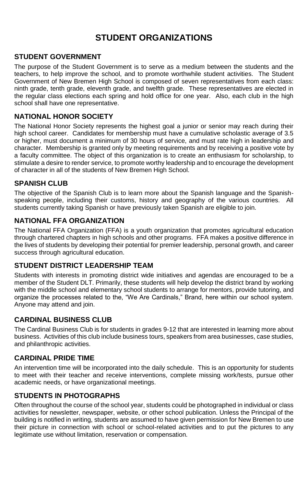## **STUDENT ORGANIZATIONS**

#### **STUDENT GOVERNMENT**

The purpose of the Student Government is to serve as a medium between the students and the teachers, to help improve the school, and to promote worthwhile student activities. The Student Government of New Bremen High School is composed of seven representatives from each class: ninth grade, tenth grade, eleventh grade, and twelfth grade. These representatives are elected in the regular class elections each spring and hold office for one year. Also, each club in the high school shall have one representative.

#### **NATIONAL HONOR SOCIETY**

The National Honor Society represents the highest goal a junior or senior may reach during their high school career. Candidates for membership must have a cumulative scholastic average of 3.5 or higher, must document a minimum of 30 hours of service, and must rate high in leadership and character. Membership is granted only by meeting requirements and by receiving a positive vote by a faculty committee. The object of this organization is to create an enthusiasm for scholarship, to stimulate a desire to render service, to promote worthy leadership and to encourage the development of character in all of the students of New Bremen High School.

#### **SPANISH CLUB**

The objective of the Spanish Club is to learn more about the Spanish language and the Spanishspeaking people, including their customs, history and geography of the various countries. All students currently taking Spanish or have previously taken Spanish are eligible to join.

#### **NATIONAL FFA ORGANIZATION**

The National FFA Organization (FFA) is a youth organization that promotes agricultural education through chartered chapters in high schools and other programs. FFA makes a positive difference in the lives of students by developing their potential for premier leadership, personal growth, and career success through agricultural education.

#### **STUDENT DISTRICT LEADERSHIP TEAM**

Students with interests in promoting district wide initiatives and agendas are encouraged to be a member of the Student DLT. Primarily, these students will help develop the district brand by working with the middle school and elementary school students to arrange for mentors, provide tutoring, and organize the processes related to the, "We Are Cardinals," Brand, here within our school system. Anyone may attend and join.

#### **CARDINAL BUSINESS CLUB**

The Cardinal Business Club is for students in grades 9-12 that are interested in learning more about business. Activities of this club include business tours, speakers from area businesses, case studies, and philanthropic activities.

#### **CARDINAL PRIDE TIME**

An intervention time will be incorporated into the daily schedule. This is an opportunity for students to meet with their teacher and receive interventions, complete missing work/tests, pursue other academic needs, or have organizational meetings.

#### **STUDENTS IN PHOTOGRAPHS**

Often throughout the course of the school year, students could be photographed in individual or class activities for newsletter, newspaper, website, or other school publication. Unless the Principal of the building is notified in writing, students are assumed to have given permission for New Bremen to use their picture in connection with school or school-related activities and to put the pictures to any legitimate use without limitation, reservation or compensation.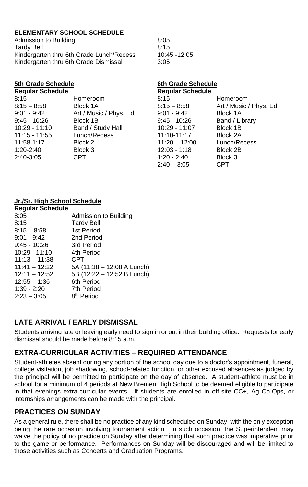#### **ELEMENTARY SCHOOL SCHEDULE**

| Admission to Building                    | 8:05 |
|------------------------------------------|------|
| <b>Tardy Bell</b>                        | 8:15 |
| Kindergarten thru 6th Grade Lunch/Recess | 10.4 |
| Kindergarten thru 6th Grade Dismissal    | 3:05 |

 $10.45 - 12.05$ 

| 5th Grade Schedule      |                         | 6th Grade Schedule      |                         |
|-------------------------|-------------------------|-------------------------|-------------------------|
| <b>Requiar Schedule</b> |                         | <b>Regular Schedule</b> |                         |
| 8:15                    | Homeroom                | 8:15                    | Homeroom                |
| $8:15 - 8:58$           | Block 1A                | $8.15 - 8.58$           | Art / Music / Phys. Ed. |
| $9.01 - 9.42$           | Art / Music / Phys. Ed. | $9.01 - 9.42$           | Block 1A                |
| $9:45 - 10:26$          | Block 1B                | $9:45 - 10:26$          | Band / Library          |
| $10:29 - 11:10$         | Band / Study Hall       | 10:29 - 11:07           | Block 1B                |
| 11:15 - 11:55           | Lunch/Recess            | 11:10-11:17             | Block 2A                |
| 11:58-1:17              | Block 2                 | $11:20 - 12:00$         | Lunch/Recess            |
| $1:20-2:40$             | Block 3                 | $12:03 - 1:18$          | Block 2B                |
| 2:40-3:05               | CPT.                    | $1:20 - 2:40$           | Block 3                 |
|                         |                         | $2:40 - 3:05$           | <b>CPT</b>              |

#### **Jr./Sr. High School Schedule**

| <b>Regular Schedule</b> |                            |
|-------------------------|----------------------------|
| 8:05                    | Admission to Building      |
| 8:15                    | <b>Tardy Bell</b>          |
| $8:15 - 8:58$           | 1st Period                 |
| $9:01 - 9:42$           | 2nd Period                 |
| $9:45 - 10:26$          | 3rd Period                 |
| $10:29 - 11:10$         | 4th Period                 |
| $11:13 - 11:38$         | CPT                        |
| $11:41 - 12:22$         | 5A (11:38 - 12:08 A Lunch) |
| $12:11 - 12:52$         | 5B (12:22 - 12:52 B Lunch) |
| $12:55 - 1:36$          | 6th Period                 |
| $1:39 - 2:20$           | 7th Period                 |
| $2.23 - 3.05$           | 8 <sup>th</sup> Period     |

## **LATE ARRIVAL / EARLY DISMISSAL**

Students arriving late or leaving early need to sign in or out in their building office. Requests for early dismissal should be made before 8:15 a.m.

### **EXTRA-CURRICULAR ACTIVITIES – REQUIRED ATTENDANCE**

Student-athletes absent during any portion of the school day due to a doctor's appointment, funeral, college visitation, job shadowing, school-related function, or other excused absences as judged by the principal will be permitted to participate on the day of absence. A student-athlete must be in school for a minimum of 4 periods at New Bremen High School to be deemed eligible to participate in that evenings extra-curricular events. If students are enrolled in off-site CC+, Ag Co-Ops, or internships arrangements can be made with the principal.

#### **PRACTICES ON SUNDAY**

As a general rule, there shall be no practice of any kind scheduled on Sunday, with the only exception being the rare occasion involving tournament action. In such occasion, the Superintendent may waive the policy of no practice on Sunday after determining that such practice was imperative prior to the game or performance. Performances on Sunday will be discouraged and will be limited to those activities such as Concerts and Graduation Programs.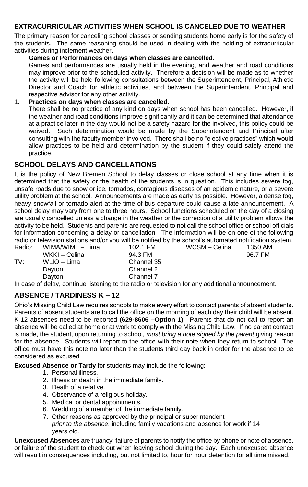#### **EXTRACURRICULAR ACTIVITIES WHEN SCHOOL IS CANCELED DUE TO WEATHER**

The primary reason for canceling school classes or sending students home early is for the safety of the students. The same reasoning should be used in dealing with the holding of extracurricular activities during inclement weather.

#### **Games or Performances on days when classes are cancelled.**

Games and performances are usually held in the evening, and weather and road conditions may improve prior to the scheduled activity. Therefore a decision will be made as to whether the activity will be held following consultations between the Superintendent, Principal, Athletic Director and Coach for athletic activities, and between the Superintendent, Principal and respective advisor for any other activity.

#### 1. **Practices on days when classes are cancelled.**

There shall be no practice of any kind on days when school has been cancelled. However, if the weather and road conditions improve significantly and it can be determined that attendance at a practice later in the day would not be a safety hazard for the involved, this policy could be waived. Such determination would be made by the Superintendent and Principal after consulting with the faculty member involved. There shall be no "elective practices" which would allow practices to be held and determination by the student if they could safely attend the practice.

#### **SCHOOL DELAYS AND CANCELLATIONS**

It is the policy of New Bremen School to delay classes or close school at any time when it is determined that the safety or the health of the students is in question. This includes severe fog, unsafe roads due to snow or ice, tornados, contagious diseases of an epidemic nature, or a severe utility problem at the school. Announcements are made as early as possible. However, a dense fog, heavy snowfall or tornado alert at the time of bus departure could cause a late announcement. A school delay may vary from one to three hours. School functions scheduled on the day of a closing are usually cancelled unless a change in the weather or the correction of a utility problem allows the activity to be held. Students and parents are requested to not call the school office or school officials for information concerning a delay or cancellation. The information will be on one of the following radio or television stations and/or you will be notified by the school's automated notification system.  $WCSM - Celina$  1350 AM<br>96.7 FM

| Radio: | WIMA/WIMT - Lima | 102.1 FM   | WCSM - Celina | 1350 AM |
|--------|------------------|------------|---------------|---------|
|        | WKKI – Celina    | 94.3 FM    |               | 96.7 FM |
| TV:    | WLIO – Lima      | Channel 35 |               |         |
|        | Davton           | Channel 2  |               |         |
|        | Davton           | Channel 7  |               |         |
|        |                  |            |               |         |

In case of delay, continue listening to the radio or television for any additional announcement.

## **ABSENCE / TARDINESS K – 12**

Ohio's Missing Child Law requires schools to make every effort to contact parents of absent students. Parents of absent students are to call the office on the morning of each day their child will be absent. K-12 absences need to be reported **(629-8606 –Option 1)**. Parents that do not call to report an absence will be called at home or at work to comply with the Missing Child Law. If no parent contact is made, the student, upon returning to school, *must bring a note signed by the parent* giving reason for the absence. Students will report to the office with their note when they return to school. The office must have this note no later than the students third day back in order for the absence to be considered as excused.

**Excused Absence or Tardy** for students may include the following:

- 1. Personal illness.
- 2. Illness or death in the immediate family.
- 3. Death of a relative.
- 4. Observance of a religious holiday.
- 5. Medical or dental appointments.
- 6. Wedding of a member of the immediate family.
- 7. Other reasons as approved by the principal or superintendent *prior to the absence*, including family vacations and absence for work if 14 years old.

**Unexcused Absences** are truancy, failure of parents to notify the office by phone or note of absence, or failure of the student to check out when leaving school during the day. Each unexcused absence will result in consequences including, but not limited to, hour for hour detention for all time missed.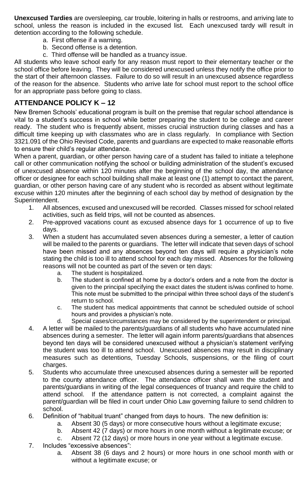**Unexcused Tardies** are oversleeping, car trouble, loitering in halls or restrooms, and arriving late to school, unless the reason is included in the excused list. Each unexcused tardy will result in detention according to the following schedule.

- a. First offense if a warning.
- b. Second offense is a detention.
- c. Third offense will be handled as a truancy issue.

All students who leave school early for any reason must report to their elementary teacher or the school office before leaving. They will be considered unexcused unless they notify the office prior to the start of their afternoon classes. Failure to do so will result in an unexcused absence regardless of the reason for the absence. Students who arrive late for school must report to the school office for an appropriate pass before going to class.

## **ATTENDANCE POLICY K – 12**

New Bremen Schools' educational program is built on the premise that regular school attendance is vital to a student's success in school while better preparing the student to be college and career ready. The student who is frequently absent, misses crucial instruction during classes and has a difficult time keeping up with classmates who are in class regularly. In compliance with Section 3321.091 of the Ohio Revised Code, parents and guardians are expected to make reasonable efforts to ensure their child's regular attendance.

When a parent, guardian, or other person having care of a student has failed to initiate a telephone call or other communication notifying the school or building administration of the student's excused of unexcused absence within 120 minutes after the beginning of the school day, the attendance officer or designee for each school building shall make at least one (1) attempt to contact the parent, guardian, or other person having care of any student who is recorded as absent without legitimate excuse within 120 minutes after the beginning of each school day by method of designation by the Superintendent.

- 1. All absences, excused and unexcused will be recorded. Classes missed for school related activities, such as field trips, will not be counted as absences.
- 2. Pre-approved vacations count as excused absence days for 1 occurrence of up to five days.
- 3. When a student has accumulated seven absences during a semester, a letter of caution will be mailed to the parents or guardians. The letter will indicate that seven days of school have been missed and any absences beyond ten days will require a physician's note stating the child is too ill to attend school for each day missed. Absences for the following reasons will not be counted as part of the seven or ten days:
	- a. The student is hospitalized.
	- b. The student is confined at home by a doctor's orders and a note from the doctor is given to the principal specifying the exact dates the student is/was confined to home. This note must be submitted to the principal within three school days of the student's return to school.
	- c. The student has medical appointments that cannot be scheduled outside of school hours and provides a physician's note.
	- d. Special cases/circumstances may be considered by the superintendent or principal.
- 4. A letter will be mailed to the parents/guardians of all students who have accumulated nine absences during a semester. The letter will again inform parents/guardians that absences beyond ten days will be considered unexcused without a physician's statement verifying the student was too ill to attend school. Unexcused absences may result in disciplinary measures such as detentions, Tuesday Schools, suspensions, or the filing of court charges.
- 5. Students who accumulate three unexcused absences during a semester will be reported to the county attendance officer. The attendance officer shall warn the student and parents/guardians in writing of the legal consequences of truancy and require the child to attend school. If the attendance pattern is not corrected, a complaint against the parent/guardian will be filed in court under Ohio Law governing failure to send children to school.
- 6. Definition of "habitual truant" changed from days to hours. The new definition is:
	- a. Absent 30 (5 days) or more consecutive hours without a legitimate excuse;
	- b. Absent 42 (7 days) or more hours in one month without a legitimate excuse; or
	- c. Absent 72 (12 days) or more hours in one year without a legitimate excuse.
- 7. Includes "excessive absences":
	- a. Absent 38 (6 days and 2 hours) or more hours in one school month with or without a legitimate excuse; or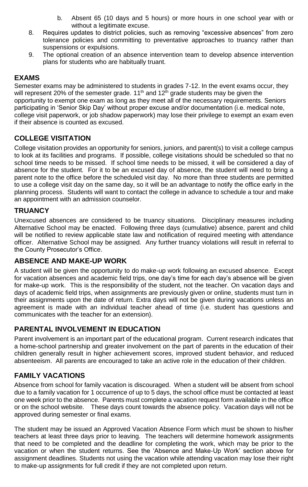- b. Absent 65 (10 days and 5 hours) or more hours in one school year with or without a legitimate excuse.
- 8. Requires updates to district policies, such as removing "excessive absences" from zero tolerance policies and committing to preventative approaches to truancy rather than suspensions or expulsions.
- 9. The optional creation of an absence intervention team to develop absence intervention plans for students who are habitually truant.

## **EXAMS**

Semester exams may be administered to students in grades 7-12. In the event exams occur, they will represent 20% of the semester grade.  $11<sup>th</sup>$  and  $12<sup>th</sup>$  grade students may be given the opportunity to exempt one exam as long as they meet all of the necessary requirements. Seniors participating in 'Senior Skip Day' without proper excuse and/or documentation (i.e. medical note, college visit paperwork, or job shadow paperwork) may lose their privilege to exempt an exam even if their absence is counted as excused.

## **COLLEGE VISITATION**

College visitation provides an opportunity for seniors, juniors, and parent(s) to visit a college campus to look at its facilities and programs. If possible, college visitations should be scheduled so that no school time needs to be missed. If school time needs to be missed, it will be considered a day of absence for the student. For it to be an excused day of absence, the student will need to bring a parent note to the office before the scheduled visit day. No more than three students are permitted to use a college visit day on the same day, so it will be an advantage to notify the office early in the planning process. Students will want to contact the college in advance to schedule a tour and make an appointment with an admission counselor.

#### **TRUANCY**

Unexcused absences are considered to be truancy situations. Disciplinary measures including Alternative School may be enacted. Following three days (cumulative) absence, parent and child will be notified to review applicable state law and notification of required meeting with attendance officer. Alternative School may be assigned. Any further truancy violations will result in referral to the County Prosecutor's Office.

#### **ABSENCE AND MAKE-UP WORK**

A student will be given the opportunity to do make-up work following an excused absence. Except for vacation absences and academic field trips, one day's time for each day's absence will be given for make-up work. This is the responsibility of the student, not the teacher. On vacation days and days of academic field trips, when assignments are previously given or online, students must turn in their assignments upon the date of return. Extra days will not be given during vacations unless an agreement is made with an individual teacher ahead of time (i.e. student has questions and communicates with the teacher for an extension).

#### **PARENTAL INVOLVEMENT IN EDUCATION**

Parent involvement is an important part of the educational program. Current research indicates that a home-school partnership and greater involvement on the part of parents in the education of their children generally result in higher achievement scores, improved student behavior, and reduced absenteeism. All parents are encouraged to take an active role in the education of their children.

#### **FAMILY VACATIONS**

Absence from school for family vacation is discouraged. When a student will be absent from school due to a family vacation for 1 occurrence of up to 5 days, the school office must be contacted at least one week prior to the absence. Parents must complete a vacation request form available in the office or on the school website. These days count towards the absence policy. Vacation days will not be approved during semester or final exams.

The student may be issued an Approved Vacation Absence Form which must be shown to his/her teachers at least three days prior to leaving. The teachers will determine homework assignments that need to be completed and the deadline for completing the work, which may be prior to the vacation or when the student returns. See the 'Absence and Make-Up Work' section above for assignment deadlines. Students not using the vacation while attending vacation may lose their right to make-up assignments for full credit if they are not completed upon return.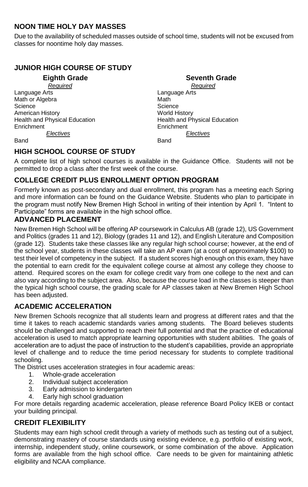## **NOON TIME HOLY DAY MASSES**

Due to the availability of scheduled masses outside of school time, students will not be excused from classes for noontime holy day masses.

## **JUNIOR HIGH COURSE OF STUDY**

 $\overline{R}$ *equired* Language Arts<br>
Math or Algebra<br>
Math Of Algebra Math or Algebra Science Science Science Science Science Science Science Science Science Science Science Science Science Science American History<br>
Health and Physical Education<br>
Health and Physical Education<br>
Well American World Health and Physical Education Enrichment Enrichment

# **Eighth Grade Seventh Grade Seventh Grade Required**

Health and Physical Education *Electives Electives*

Band Band

## **HIGH SCHOOL COURSE OF STUDY**

A complete list of high school courses is available in the Guidance Office. Students will not be permitted to drop a class after the first week of the course.

## **COLLEGE CREDIT PLUS ENROLLMENT OPTION PROGRAM**

Formerly known as post-secondary and dual enrollment, this program has a meeting each Spring and more information can be found on the Guidance Website. Students who plan to participate in the program must notify New Bremen High School in writing of their intention by April 1. "Intent to Participate" forms are available in the high school office.

#### **ADVANCED PLACEMENT**

New Bremen High School will be offering AP coursework in Calculus AB (grade 12), US Government and Politics (grades 11 and 12), Biology (grades 11 and 12), and English Literature and Composition (grade 12). Students take these classes like any regular high school course; however, at the end of the school year, students in these classes will take an AP exam (at a cost of approximately \$100) to test their level of competency in the subject. If a student scores high enough on this exam, they have the potential to earn credit for the equivalent college course at almost any college they choose to attend. Required scores on the exam for college credit vary from one college to the next and can also vary according to the subject area. Also, because the course load in the classes is steeper than the typical high school course, the grading scale for AP classes taken at New Bremen High School has been adiusted.

## **ACADEMIC ACCELERATION**

New Bremen Schools recognize that all students learn and progress at different rates and that the time it takes to reach academic standards varies among students. The Board believes students should be challenged and supported to reach their full potential and that the practice of educational acceleration is used to match appropriate learning opportunities with student abilities. The goals of acceleration are to adjust the pace of instruction to the student's capabilities, provide an appropriate level of challenge and to reduce the time period necessary for students to complete traditional schooling.

The District uses acceleration strategies in four academic areas:

- 1. Whole-grade acceleration
- 2. Individual subject acceleration<br>3. Early admission to kindergarte
- Early admission to kindergarten
- 4. Early high school graduation

For more details regarding academic acceleration, please reference Board Policy IKEB or contact your building principal.

#### **CREDIT FLEXIBILITY**

Students may earn high school credit through a variety of methods such as testing out of a subject, demonstrating mastery of course standards using existing evidence, e.g. portfolio of existing work, internship, independent study, online coursework, or some combination of the above. Application forms are available from the high school office. Care needs to be given for maintaining athletic eligibility and NCAA compliance.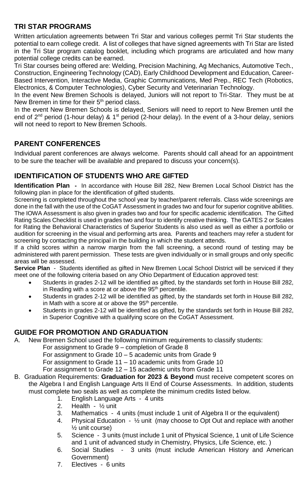## **TRI STAR PROGRAMS**

Written articulation agreements between Tri Star and various colleges permit Tri Star students the potential to earn college credit. A list of colleges that have signed agreements with Tri Star are listed in the Tri Star program catalog booklet, including which programs are articulated and how many potential college credits can be earned.

Tri Star courses being offered are: Welding, Precision Machining, Ag Mechanics, Automotive Tech., Construction, Engineering Technology (CAD), Early Childhood Development and Education, Career-Based Intervention, Interactive Media, Graphic Communications, Med Prep., REC Tech (Robotics, Electronics, & Computer Technologies), Cyber Security and Veterinarian Technology.

In the event New Bremen Schools is delayed, Juniors will not report to Tri-Star. They must be at New Bremen in time for their  $5<sup>th</sup>$  period class.

In the event New Bremen Schools is delayed, Seniors will need to report to New Bremen until the end of 2<sup>nd</sup> period (1-hour delay) & 1<sup>st</sup> period (2-hour delay). In the event of a 3-hour delay, seniors will not need to report to New Bremen Schools.

## **PARENT CONFERENCES**

Individual parent conferences are always welcome. Parents should call ahead for an appointment to be sure the teacher will be available and prepared to discuss your concern(s).

## **IDENTIFICATION OF STUDENTS WHO ARE GIFTED**

**Identification Plan -** In accordance with House Bill 282, New Bremen Local School District has the following plan in place for the identification of gifted students.

Screening is completed throughout the school year by teacher/parent referrals. Class wide screenings are done in the fall with the use of the CoGAT Assessment in grades two and four for superior cognitive abilities. The IOWA Assessment is also given in grades two and four for specific academic identification. The Gifted Rating Scales Checklist is used in grades two and four to identify creative thinking. The GATES 2 or Scales for Rating the Behavioral Characteristics of Superior Students is also used as well as either a portfolio or audition for screening in the visual and performing arts area. Parents and teachers may refer a student for screening by contacting the principal in the building in which the student attends.

If a child scores within a narrow margin from the fall screening, a second round of testing may be administered with parent permission. These tests are given individually or in small groups and only specific areas will be assessed.

**Service Plan** - Students identified as gifted in New Bremen Local School District will be serviced if they meet one of the following criteria based on any Ohio Department of Education approved test:

- Students in grades 2-12 will be identified as gifted, by the standards set forth in House Bill 282, in Reading with a score at or above the 95<sup>th</sup> percentile.
- Students in grades 2-12 will be identified as gifted, by the standards set forth in House Bill 282, in Math with a score at or above the 95<sup>th</sup> percentile.
- Students in grades 2-12 will be identified as gifted, by the standards set forth in House Bill 282, in Superior Cognitive with a qualifying score on the CoGAT Assessment.

## **GUIDE FOR PROMOTION AND GRADUATION**

A. New Bremen School used the following minimum requirements to classify students:

For assignment to Grade 9 – completion of Grade 8

For assignment to Grade 10 – 5 academic units from Grade 9

For assignment to Grade 11 – 10 academic units from Grade 10

For assignment to Grade 12 – 15 academic units from Grade 11

- B. Graduation Requirements: **Graduation for 2023 & Beyond** must receive competent scores on the Algebra I and English Language Arts II End of Course Assessments. In addition, students must complete two seals as well as complete the minimum credits listed below.
	- 1. English Language Arts 4 units
	- 2. Health ½ unit
	- 3. Mathematics 4 units (must include 1 unit of Algebra II or the equivalent)
	- 4. Physical Education ½ unit (may choose to Opt Out and replace with another ½ unit course)
	- 5. Science 3 units (must include 1 unit of Physical Science, 1 unit of Life Science and 1 unit of advanced study in Chemistry, Physics, Life Science, etc. )
	- 6. Social Studies 3 units (must include American History and American Government)
	- 7. Electives 6 units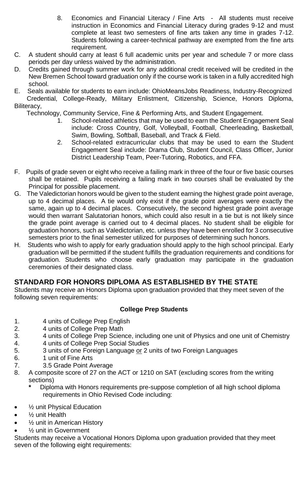- 8. Economics and Financial Literacy / Fine Arts All students must receive instruction in Economics and Financial Literacy during grades 9-12 and must complete at least two semesters of fine arts taken any time in grades 7-12. Students following a career-technical pathway are exempted from the fine arts requirement.
- C. A student should carry at least 6 full academic units per year and schedule 7 or more class periods per day unless waived by the administration.
- D. Credits gained through summer work for any additional credit received will be credited in the New Bremen School toward graduation only if the course work is taken in a fully accredited high school.
- E. Seals available for students to earn include: OhioMeansJobs Readiness, Industry-Recognized Credential, College-Ready, Military Enlistment, Citizenship, Science, Honors Diploma, Biliteracy,

Technology, Community Service, Fine & Performing Arts, and Student Engagement.

- 1. School-related athletics that may be used to earn the Student Engagement Seal include: Cross Country, Golf, Volleyball, Football, Cheerleading, Basketball, Swim, Bowling, Softball, Baseball, and Track & Field.
- 2. School-related extracurricular clubs that may be used to earn the Student Engagement Seal include: Drama Club, Student Council, Class Officer, Junior District Leadership Team, Peer-Tutoring, Robotics, and FFA.
- F. Pupils of grade seven or eight who receive a failing mark in three of the four or five basic courses shall be retained. Pupils receiving a failing mark in two courses shall be evaluated by the Principal for possible placement.
- G. The Valedictorian honors would be given to the student earning the highest grade point average, up to 4 decimal places. A tie would only exist if the grade point averages were exactly the same, again up to 4 decimal places. Consecutively, the second highest grade point average would then warrant Salutatorian honors, which could also result in a tie but is not likely since the grade point average is carried out to 4 decimal places. No student shall be eligible for graduation honors, such as Valedictorian, etc. unless they have been enrolled for 3 consecutive semesters prior to the final semester utilized for purposes of determining such honors.
- H. Students who wish to apply for early graduation should apply to the high school principal. Early graduation will be permitted if the student fulfills the graduation requirements and conditions for graduation. Students who choose early graduation may participate in the graduation ceremonies of their designated class.

## **STANDARD FOR HONORS DIPLOMA AS ESTABLISHED BY THE STATE**

Students may receive an Honors Diploma upon graduation provided that they meet seven of the following seven requirements:

#### **College Prep Students**

- 1. 4 units of College Prep English<br>2 4 units of College Prep Math
- 4 units of College Prep Math
- 3. 4 units of College Prep Science, including one unit of Physics and one unit of Chemistry
- 4. 4 units of College Prep Social Studies<br>5. 3 units of one Foreign Language or 2 u
- 5. 3 units of one Foreign Language or 2 units of two Foreign Languages
- 6. 1 unit of Fine Arts
- 7. 3.5 Grade Point Average
- 8. A composite score of 27 on the ACT or 1210 on SAT (excluding scores from the writing sections)
	- **\*** Diploma with Honors requirements pre-suppose completion of all high school diploma requirements in Ohio Revised Code including:
- ½ unit Physical Education
- 1/<sub>2</sub> unit Health
- $1/2$  unit in American History
- ½ unit in Government

Students may receive a Vocational Honors Diploma upon graduation provided that they meet seven of the following eight requirements: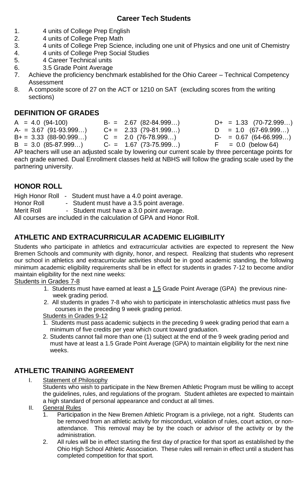## **Career Tech Students**

- 1. 4 units of College Prep English
- 2. 4 units of College Prep Math<br>3 4 units of College Prep Scien
- 3. 4 units of College Prep Science, including one unit of Physics and one unit of Chemistry
- 4. 4 units of College Prep Social Studies
- 5. 4 Career Technical units<br>6. 3.5 Grade Point Average
- 3.5 Grade Point Average
- 7. Achieve the proficiency benchmark established for the Ohio Career Technical Competency Assessment
- 8. A composite score of 27 on the ACT or 1210 on SAT (excluding scores from the writing sections)

## **DEFINITION OF GRADES**

 $A = 4.0$  (94-100)  $B = 2.67$  (82-84.999...)  $D + = 1.33$  (70-72.999...)<br>  $A = 3.67$  (91-93.999...)  $C + = 2.33$  (79-81.999...)  $D = 1.0$  (67-69.999...)  $A = 3.67 (91-93.999...)$ <br>  $B+= 3.33 (88-90.999...)$   $C = 2.0 (76-78.999...)$  $C = 2.0$  (76-78.999…) D- = 0.67 (64-66.999…)  $B = 3.0 (85-87.999...)$   $C = 1.67 (73-75.999...)$   $F = 0.0$  (below 64) AP teachers will use an adjusted scale by lowering our current scale by three percentage points for

each grade earned. Dual Enrollment classes held at NBHS will follow the grading scale used by the partnering university.

## **HONOR ROLL**

- High Honor Roll Student must have a 4.0 point average.
- Honor Roll Student must have a 3.5 point average.<br>Merit Roll Student must have a 3.0 point average.
- Student must have a 3.0 point average.

All courses are included in the calculation of GPA and Honor Roll.

## **ATHLETIC AND EXTRACURRICULAR ACADEMIC ELIGIBILITY**

Students who participate in athletics and extracurricular activities are expected to represent the New Bremen Schools and community with dignity, honor, and respect. Realizing that students who represent our school in athletics and extracurricular activities should be in good academic standing, the following minimum academic eligibility requirements shall be in effect for students in grades 7-12 to become and/or maintain eligibility for the next nine weeks:

Students in Grades 7-8

- 1. Students must have earned at least a 1.5 Grade Point Average (GPA) the previous nineweek grading period.
- 2. All students in grades 7-8 who wish to participate in interscholastic athletics must pass five courses in the preceding 9 week grading period.

Students in Grades 9-12

- 1. Students must pass academic subjects in the preceding 9 week grading period that earn a minimum of five credits per year which count toward graduation.
- 2. Students cannot fail more than one (1) subject at the end of the 9 week grading period and must have at least a 1.5 Grade Point Average (GPA) to maintain eligibility for the next nine weeks.

## **ATHLETIC TRAINING AGREEMENT**

- I. Statement of Philosophy Students who wish to participate in the New Bremen Athletic Program must be willing to accept the guidelines, rules, and regulations of the program. Student athletes are expected to maintain a high standard of personal appearance and conduct at all times.
- II. General Rules<br>1. Participat
	- Participation in the New Bremen Athletic Program is a privilege, not a right. Students can be removed from an athletic activity for misconduct, violation of rules, court action, or nonattendance. This removal may be by the coach or advisor of the activity or by the administration.
	- 2. All rules will be in effect starting the first day of practice for that sport as established by the Ohio High School Athletic Association. These rules will remain in effect until a student has completed competition for that sport.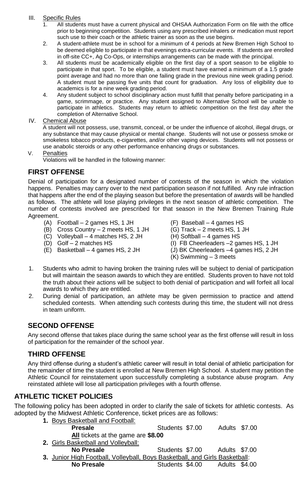#### III. Specific Rules

- 1. All students must have a current physical and OHSAA Authorization Form on file with the office prior to beginning competition. Students using any prescribed inhalers or medication must report such use to their coach or the athletic trainer as soon as the use begins.
- 2. A student-athlete must be in school for a minimum of 4 periods at New Bremen High School to be deemed eligible to participate in that evenings extra-curricular events. If students are enrolled in off-site CC+, Ag Co-Ops, or internships arrangements can be made with the principal.
- 3. All students must be academically eligible on the first day of a sport season to be eligible to participate in that sport. To be eligible, a student must have earned a minimum of a 1.5 grade point average and had no more than one failing grade in the previous nine week grading period. A student must be passing five units that count for graduation. Any loss of eligibility due to academics is for a nine week grading period.
- 4. Any student subject to school disciplinary action must fulfill that penalty before participating in a game, scrimmage, or practice. Any student assigned to Alternative School will be unable to participate in athletics. Students may return to athletic competition on the first day after the completion of Alternative School.

#### IV. Chemical Abuse

A student will not possess, use, transmit, conceal, or be under the influence of alcohol, illegal drugs, or any substance that may cause physical or mental change. Students will not use or possess smoke or smokeless tobacco products, e-cigarettes, and/or other vaping devices. Students will not possess or use anabolic steroids or any other performance enhancing drugs or substances.

#### V. Penalties

Violations will be handled in the following manner:

#### **FIRST OFFENSE**

Denial of participation for a designated number of contests of the season in which the violation happens. Penalties may carry over to the next participation season if not fulfilled. Any rule infraction that happens after the end of the playing season but before the presentation of awards will be handled as follows. The athlete will lose playing privileges in the next season of athletic competition. The number of contests involved are prescribed for that season in the New Bremen Training Rule Agreement.

- (A) Football 2 games HS, 1 JH (F) Baseball 4 games HS
- (B) Cross Country 2 meets HS, 1 JH (G) Track 2 meets HS, 1 JH (C) Volleyball 4 matches HS 2 JH (H) Softball 4 games HS
- $(C)$  Volleyball 4 matches HS, 2 JH<br>(D) Golf 2 matches HS
- 
- (E) Basketball 4 games HS, 2 JH (J) BK Cheerleaders –4 games HS, 2 JH
- 
- 
- 
- (I) FB Cheerleaders  $-2$  games HS, 1 JH
	-
	- (K) Swimming 3 meets
- 1. Students who admit to having broken the training rules will be subject to denial of participation but will maintain the season awards to which they are entitled. Students proven to have not told the truth about their actions will be subject to both denial of participation and will forfeit all local awards to which they are entitled.
- 2. During denial of participation, an athlete may be given permission to practice and attend scheduled contests. When attending such contests during this time, the student will not dress in team uniform.

#### **SECOND OFFENSE**

Any second offense that takes place during the same school year as the first offense will result in loss of participation for the remainder of the school year.

#### **THIRD OFFENSE**

Any third offense during a student's athletic career will result in total denial of athletic participation for the remainder of time the student is enrolled at New Bremen High School. A student may petition the Athletic Council for reinstatement upon successfully completing a substance abuse program. Any reinstated athlete will lose all participation privileges with a fourth offense.

#### **ATHLETIC TICKET POLICIES**

The following policy has been adopted in order to clarify the sale of tickets for athletic contests. As adopted by the Midwest Athletic Conference, ticket prices are as follows:

**1.** Boys Basketball and Football: **Presale Students \$7.00** Adults \$7.00 **All** tickets at the game are **\$8.00** 2. Girls Basketball and Volleyball:<br>No Presale **No Presale** Students \$7.00 Adults \$7.00 **3.** Junior High Football, Volleyball, Boys Basketball, and Girls Basketball: **No Presale Students \$4.00** Adults \$4.00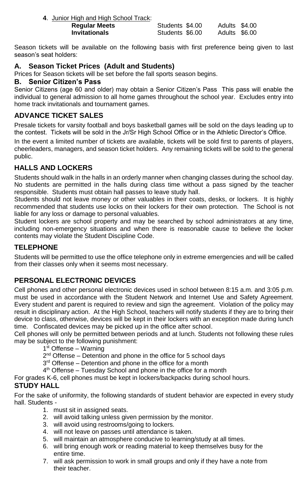**4**. Junior High and High School Track:

| Regular Meets | Students \$4.00 | Adults \$4.00 |
|---------------|-----------------|---------------|
| Invitationals | Students \$6.00 | Adults \$6.00 |

Season tickets will be available on the following basis with first preference being given to last season's seat holders:

## **A. Season Ticket Prices (Adult and Students)**

Prices for Season tickets will be set before the fall sports season begins.

#### **B. Senior Citizen's Pass**

Senior Citizens (age 60 and older) may obtain a Senior Citizen's Pass This pass will enable the individual to general admission to all home games throughout the school year. Excludes entry into home track invitationals and tournament games.

## **ADVANCE TICKET SALES**

Presale tickets for varsity football and boys basketball games will be sold on the days leading up to the contest. Tickets will be sold in the Jr/Sr High School Office or in the Athletic Director's Office.

In the event a limited number of tickets are available, tickets will be sold first to parents of players, cheerleaders, managers, and season ticket holders. Any remaining tickets will be sold to the general public.

## **HALLS AND LOCKERS**

Students should walk in the halls in an orderly manner when changing classes during the school day. No students are permitted in the halls during class time without a pass signed by the teacher responsible. Students must obtain hall passes to leave study hall.

Students should not leave money or other valuables in their coats, desks, or lockers. It is highly recommended that students use locks on their lockers for their own protection. The School is not liable for any loss or damage to personal valuables.

Student lockers are school property and may be searched by school administrators at any time, including non-emergency situations and when there is reasonable cause to believe the locker contents may violate the Student Discipline Code.

## **TELEPHONE**

Students will be permitted to use the office telephone only in extreme emergencies and will be called from their classes only when it seems most necessary.

## **PERSONAL ELECTRONIC DEVICES**

Cell phones and other personal electronic devices used in school between 8:15 a.m. and 3:05 p.m. must be used in accordance with the Student Network and Internet Use and Safety Agreement. Every student and parent is required to review and sign the agreement. Violation of the policy may result in disciplinary action. At the High School, teachers will notify students if they are to bring their device to class, otherwise, devices will be kept in their lockers with an exception made during lunch time. Confiscated devices may be picked up in the office after school.

Cell phones will only be permitted between periods and at lunch. Students not following these rules may be subject to the following punishment:

1st Offense - Warning

2<sup>nd</sup> Offense - Detention and phone in the office for 5 school days

3<sup>rd</sup> Offense – Detention and phone in the office for a month

4<sup>th</sup> Offense – Tuesday School and phone in the office for a month

For grades K-6, cell phones must be kept in lockers/backpacks during school hours.

## **STUDY HALL**

For the sake of uniformity, the following standards of student behavior are expected in every study hall. Students -

- 1. must sit in assigned seats.
- 2. will avoid talking unless given permission by the monitor.
- 3. will avoid using restrooms/going to lockers.
- 4. will not leave on passes until attendance is taken.
- 5. will maintain an atmosphere conducive to learning/study at all times.
- 6. will bring enough work or reading material to keep themselves busy for the entire time.
- 7. will ask permission to work in small groups and only if they have a note from their teacher.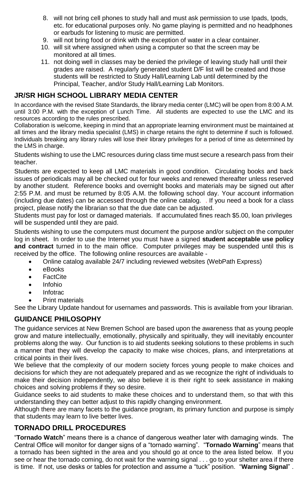- 8. will not bring cell phones to study hall and must ask permission to use Ipads, Ipods, etc. for educational purposes only. No game playing is permitted and no headphones or earbuds for listening to music are permitted.
- 9. will not bring food or drink with the exception of water in a clear container.
- 10. will sit where assigned when using a computer so that the screen may be monitored at all times.
- 11. not doing well in classes may be denied the privilege of leaving study hall until their grades are raised. A regularly generated student D/F list will be created and those students will be restricted to Study Hall/Learning Lab until determined by the Principal, Teacher, and/or Study Hall/Learning Lab Monitors.

#### **JR/SR HIGH SCHOOL LIBRARY MEDIA CENTER**

In accordance with the revised State Standards, the library media center (LMC) will be open from 8:00 A.M. until 3:00 P.M. with the exception of Lunch Time. All students are expected to use the LMC and its resources according to the rules prescribed.

Collaboration is welcome, keeping in mind that an appropriate learning environment must be maintained at all times and the library media specialist (LMS) in charge retains the right to determine if such is followed. Individuals breaking any library rules will lose their library privileges for a period of time as determined by the LMS in charge.

Students wishing to use the LMC resources during class time must secure a research pass from their teacher.

Students are expected to keep all LMC materials in good condition. Circulating books and back issues of periodicals may all be checked out for four weeks and renewed thereafter unless reserved by another student. Reference books and overnight books and materials may be signed out after 2:55 P.M. and must be returned by 8:05 A.M. the following school day. Your account information (including due dates) can be accessed through the online catalog. . If you need a book for a class project, please notify the librarian so that the due date can be adjusted.

Students must pay for lost or damaged materials. If accumulated fines reach \$5.00, loan privileges will be suspended until they are paid.

Students wishing to use the computers must document the purpose and/or subject on the computer log in sheet. In order to use the Internet you must have a signed **student acceptable use policy and contract** turned in to the main office. Computer privileges may be suspended until this is received by the office. The following online resources are available -

• Online catalog available 24/7 including reviewed websites (WebPath Express)

- eBooks
- FactCite
- Infohio
- Infotrac
- Print materials

See the Library Update handout for usernames and passwords. This is available from your librarian.

#### **GUIDANCE PHILOSOPHY**

The guidance services at New Bremen School are based upon the awareness that as young people grow and mature intellectually, emotionally, physically and spiritually, they will inevitably encounter problems along the way. Our function is to aid students seeking solutions to these problems in such a manner that they will develop the capacity to make wise choices, plans, and interpretations at critical points in their lives.

We believe that the complexity of our modern society forces young people to make choices and decisions for which they are not adequately prepared and as we recognize the right of individuals to make their decision independently, we also believe it is their right to seek assistance in making choices and solving problems if they so desire.

Guidance seeks to aid students to make these choices and to understand them, so that with this understanding they can better adjust to this rapidly changing environment.

Although there are many facets to the guidance program, its primary function and purpose is simply that students may learn to live better lives.

## **TORNADO DRILL PROCEDURES**

"**Tornado Watch**" means there is a chance of dangerous weather later with damaging winds. The Central Office will monitor for danger signs of a "tornado warning". "**Tornado Warning**" means that a tornado has been sighted in the area and you should go at once to the area listed below. If you see or hear the tornado coming, do not wait for the warning signal . . . go to your shelter area if there is time. If not, use desks or tables for protection and assume a "tuck" position. "**Warning Signal**" .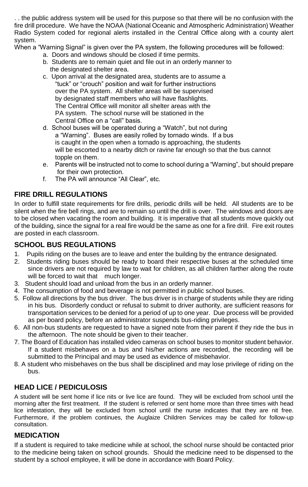. . the public address system will be used for this purpose so that there will be no confusion with the fire drill procedure. We have the NOAA (National Oceanic and Atmospheric Administration) Weather Radio System coded for regional alerts installed in the Central Office along with a county alert system.

When a "Warning Signal" is given over the PA system, the following procedures will be followed:

- a. Doors and windows should be closed if time permits.
- b. Students are to remain quiet and file out in an orderly manner to the designated shelter area.
- c. Upon arrival at the designated area, students are to assume a "tuck" or "crouch" position and wait for further instructions over the PA system. All shelter areas will be supervised by designated staff members who will have flashlights. The Central Office will monitor all shelter areas with the PA system. The school nurse will be stationed in the Central Office on a "call" basis.
- d. School buses will be operated during a "Watch", but not during a "Warning". Buses are easily rolled by tornado winds. If a bus is caught in the open when a tornado is approaching, the students will be escorted to a nearby ditch or ravine far enough so that the bus cannot topple on them.
- e. Parents will be instructed not to come to school during a "Warning", but should prepare for their own protection.
- f. The PA will announce "All Clear", etc.

## **FIRE DRILL REGULATIONS**

In order to fulfill state requirements for fire drills, periodic drills will be held. All students are to be silent when the fire bell rings, and are to remain so until the drill is over. The windows and doors are to be closed when vacating the room and building. It is imperative that all students move quickly out of the building, since the signal for a real fire would be the same as one for a fire drill. Fire exit routes are posted in each classroom.

## **SCHOOL BUS REGULATIONS**

- 1. Pupils riding on the buses are to leave and enter the building by the entrance designated.
- 2. Students riding buses should be ready to board their respective buses at the scheduled time since drivers are not required by law to wait for children, as all children farther along the route will be forced to wait that much longer.
- 3. Student should load and unload from the bus in an orderly manner.
- 4. The consumption of food and beverage is not permitted in public school buses.
- 5. Follow all directions by the bus driver. The bus driver is in charge of students while they are riding in his bus. Disorderly conduct or refusal to submit to driver authority, are sufficient reasons for transportation services to be denied for a period of up to one year. Due process will be provided as per board policy, before an administrator suspends bus-riding privileges.
- 6. All non-bus students are requested to have a signed note from their parent if they ride the bus in the afternoon. The note should be given to their teacher.
- 7. The Board of Education has installed video cameras on school buses to monitor student behavior. If a student misbehaves on a bus and his/her actions are recorded, the recording will be submitted to the Principal and may be used as evidence of misbehavior.
- 8. A student who misbehaves on the bus shall be disciplined and may lose privilege of riding on the bus.

## **HEAD LICE / PEDICULOSIS**

A student will be sent home if lice nits or live lice are found. They will be excluded from school until the morning after the first treatment. If the student is referred or sent home more than three times with head lice infestation, they will be excluded from school until the nurse indicates that they are nit free. Furthermore, if the problem continues, the Auglaize Children Services may be called for follow-up consultation.

#### **MEDICATION**

If a student is required to take medicine while at school, the school nurse should be contacted prior to the medicine being taken on school grounds. Should the medicine need to be dispensed to the student by a school employee, it will be done in accordance with Board Policy.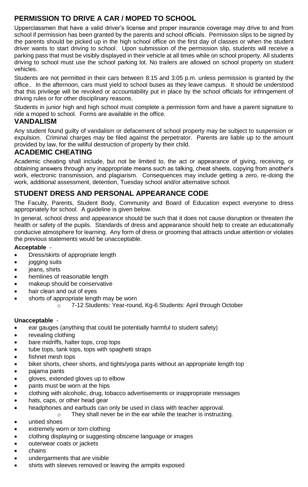## **PERMISSION TO DRIVE A CAR / MOPED TO SCHOOL**

Upperclassmen that have a valid driver's license and proper insurance coverage may drive to and from school if permission has been granted by the parents and school officials. Permission slips to be signed by the parents should be picked up in the high school office on the first day of classes or when the student driver wants to start driving to school. Upon submission of the permission slip, students will receive a parking pass that must be visibly displayed in their vehicle at all times while on school property. All students driving to school must use the school parking lot. No trailers are allowed on school property on student vehicles.

Students are not permitted in their cars between 8:15 and 3:05 p.m. unless permission is granted by the office.. In the afternoon, cars must yield to school buses as they leave campus. It should be understood that this privilege will be revoked or accountability put in place by the school officials for infringement of driving rules or for other disciplinary reasons.

Students in junior high and high school must complete a permission form and have a parent signature to ride a moped to school. Forms are available in the office.

### **VANDALISM**

Any student found guilty of vandalism or defacement of school property may be subject to suspension or expulsion. Criminal charges may be filed against the perpetrator. Parents are liable up to the amount provided by law, for the willful destruction of property by their child.

## **ACADEMIC CHEATING**

Academic cheating shall include, but not be limited to, the act or appearance of giving, receiving, or obtaining answers through any inappropriate means such as talking, cheat sheets, copying from another's work, electronic transmission, and plagiarism. Consequences may include getting a zero, re-doing the work, additional assessment, detention, Tuesday school and/or alternative school.

## **STUDENT DRESS AND PERSONAL APPEARANCE CODE**

The Faculty, Parents, Student Body, Community and Board of Education expect everyone to dress appropriately for school. A guideline is given below.

In general, school dress and appearance should be such that it does not cause disruption or threaten the health or safety of the pupils. Standards of dress and appearance should help to create an educationally conducive atmosphere for learning. Any form of dress or grooming that attracts undue attention or violates the previous statements would be unacceptable.

#### **Acceptable** -

- Dress/skirts of appropriate length
- jogging suits
- ieans, shirts
- hemlines of reasonable length
- makeup should be conservative
- hair clean and out of eyes
- shorts of appropriate length may be worn
	- o 7-12 Students: Year-round, Kg-6 Students: April through October

#### **Unacceptable** -

- ear gauges (anything that could be potentially harmful to student safety)
- revealing clothing
- bare midriffs, halter tops, crop tops
- tube tops, tank tops, tops with spaghetti straps
- fishnet mesh tops
- biker shorts, cheer shorts, and tights/yoga pants without an appropriate length top
- pajama pants
- gloves, extended gloves up to elbow
- pants must be worn at the hips
- clothing with alcoholic, drug, tobacco advertisements or inappropriate messages
- hats, caps, or other head gear
- headphones and earbuds can only be used in class with teacher approval.
- o They shall never be in the ear while the teacher is instructing.
- untied shoes
- extremely worn or torn clothing
- clothing displaying or suggesting obscene language or images
- outerwear coats or jackets
- chains
- undergarments that are visible
- shirts with sleeves removed or leaving the armpits exposed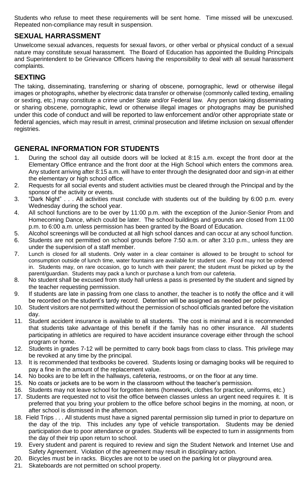Students who refuse to meet these requirements will be sent home. Time missed will be unexcused. Repeated non-compliance may result in suspension.

#### **SEXUAL HARRASSMENT**

Unwelcome sexual advances, requests for sexual favors, or other verbal or physical conduct of a sexual nature may constitute sexual harassment. The Board of Education has appointed the Building Principals and Superintendent to be Grievance Officers having the responsibility to deal with all sexual harassment complaints.

#### **SEXTING**

The taking, disseminating, transferring or sharing of obscene, pornographic, lewd or otherwise illegal images or photographs, whether by electronic data transfer or otherwise (commonly called texting, emailing or sexting, etc.) may constitute a crime under State and/or Federal law. Any person taking disseminating or sharing obscene, pornographic, lewd or otherwise illegal images or photographs may be punished under this code of conduct and will be reported to law enforcement and/or other appropriate state or federal agencies, which may result in arrest, criminal prosecution and lifetime inclusion on sexual offender registries.

## **GENERAL INFORMATION FOR STUDENTS**

- 1. During the school day all outside doors will be locked at 8:15 a.m. except the front door at the Elementary Office entrance and the front door at the High School which enters the commons area. Any student arriving after 8:15 a.m. will have to enter through the designated door and sign-in at either the elementary or high school office.
- 2. Requests for all social events and student activities must be cleared through the Principal and by the sponsor of the activity or events.
- 3. "Dark Night" . . . All activities must conclude with students out of the building by 6:00 p.m. every Wednesday during the school year.
- 4. All school functions are to be over by 11:00 p.m. with the exception of the Junior-Senior Prom and Homecoming Dance, which could be later. The school buildings and grounds are closed from 11:00 p.m. to 6:00 a.m. unless permission has been granted by the Board of Education.
- 5. Alcohol screenings will be conducted at all high school dances and can occur at any school function.
- 6. Students are not permitted on school grounds before 7:50 a.m. or after 3:10 p.m., unless they are under the supervision of a staff member.
- 7. Lunch is closed for all students. Only water in a clear container is allowed to be brought to school for consumption outside of lunch time, water fountains are available for student use. Food may not be ordered in. Students may, on rare occasion, go to lunch with their parent; the student must be picked up by the parent/guardian. Students may pack a lunch or purchase a lunch from our cafeteria.
- 8. No student shall be excused from study hall unless a pass is presented by the student and signed by the teacher requesting permission.
- 9. If students are late in passing from one class to another, the teacher is to notify the office and it will be recorded on the student's tardy record. Detention will be assigned as needed per policy.
- 10. Student visitors are not permitted without the permission of school officials granted before the visitation day.
- 11. Student accident insurance is available to all students. The cost is minimal and it is recommended that students take advantage of this benefit if the family has no other insurance. All students participating in athletics are required to have accident insurance coverage either through the school program or home.
- 12. Students in grades 7-12 will be permitted to carry book bags from class to class. This privilege may be revoked at any time by the principal.
- 13. It is recommended that textbooks be covered. Students losing or damaging books will be required to pay a fine in the amount of the replacement value.
- 14. No books are to be left in the hallways, cafeteria, restrooms, or on the floor at any time.
- 15. No coats or jackets are to be worn in the classroom without the teacher's permission.
- 16. Students may not leave school for forgotten items (homework, clothes for practice, uniforms, etc.)
- 17. Students are requested not to visit the office between classes unless an urgent need requires it. It is preferred that you bring your problem to the office before school begins in the morning, at noon, or after school is dismissed in the afternoon.
- 18. Field Trips . . . All students must have a signed parental permission slip turned in prior to departure on the day of the trip. This includes any type of vehicle transportation. Students may be denied participation due to poor attendance or grades. Students will be expected to turn in assignments from the day of their trip upon return to school.
- 19. Every student and parent is required to review and sign the Student Network and Internet Use and Safety Agreement. Violation of the agreement may result in disciplinary action.
- 20. Bicycles must be in racks. Bicycles are not to be used on the parking lot or playground area.
- 21. Skateboards are not permitted on school property.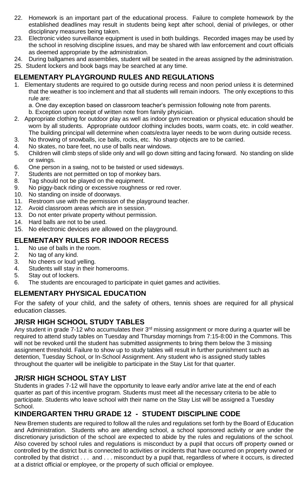- 22. Homework is an important part of the educational process. Failure to complete homework by the established deadlines may result in students being kept after school, denial of privileges, or other disciplinary measures being taken.
- 23. Electronic video surveillance equipment is used in both buildings. Recorded images may be used by the school in resolving discipline issues, and may be shared with law enforcement and court officials as deemed appropriate by the administration.
- 24. During ballgames and assemblies, student will be seated in the areas assigned by the administration.
- 25. Student lockers and book bags may be searched at any time.

#### **ELEMENTARY PLAYGROUND RULES AND REGULATIONS**

1. Elementary students are required to go outside during recess and noon period unless it is determined that the weather is too inclement and that all students will remain indoors. The only exceptions to this rule are:

a. One day exception based on classroom teacher's permission following note from parents.

b. Exception upon receipt of written note from family physician.

- 2. Appropriate clothing for outdoor play as well as indoor gym recreation or physical education should be worn by all students. Appropriate outdoor clothing includes boots, warm coats, etc. in cold weather. The building principal will determine when coats/extra layer needs to be worn during outside recess.
- 3. No throwing of snowballs, ice balls, rocks, etc. No sharp objects are to be carried.
- 4. No skates, no bare feet, no use of balls near windows.
- 5. Children will climb steps of slide only and will go down sitting and facing forward. No standing on slide or swings.
- 6. One person in a swing, not to be twisted or used sideways.
- 7. Students are not permitted on top of monkey bars.
- 8. Tag should not be played on the equipment.
- 9. No piggy-back riding or excessive roughness or red rover.
- 10. No standing on inside of doorways.
- 11. Restroom use with the permission of the playground teacher.
- 12. Avoid classroom areas which are in session.
- 13. Do not enter private property without permission.
- 14. Hard balls are not to be used.
- 15. No electronic devices are allowed on the playground.

#### **ELEMENTARY RULES FOR INDOOR RECESS**

- 1. No use of balls in the room.<br>2. No tag of any kind.
- No tag of any kind.
- 3. No cheers or loud yelling.
- 4. Students will stay in their homerooms.<br>5. Stay out of lockers.
- Stay out of lockers.
- 6. The students are encouraged to participate in quiet games and activities.

#### **ELEMENTARY PHYSICAL EDUCATION**

For the safety of your child, and the safety of others, tennis shoes are required for all physical education classes.

#### **JR/SR HIGH SCHOOL STUDY TABLES**

Any student in grade 7-12 who accumulates their 3<sup>rd</sup> missing assignment or more during a quarter will be required to attend study tables on Tuesday and Thursday mornings from 7:15-8:00 in the Commons. This will not be revoked until the student has submitted assignments to bring them below the 3 missing assignment threshold. Failure to show up to study tables will result in further punishment such as detention, Tuesday School, or In-School Assignment. Any student who is assigned study tables throughout the quarter will be ineligible to participate in the Stay List for that quarter.

#### **JR/SR HIGH SCHOOL STAY LIST**

Students in grades 7-12 will have the opportunity to leave early and/or arrive late at the end of each quarter as part of this incentive program. Students must meet all the necessary criteria to be able to participate. Students who leave school with their name on the Stay List will be assigned a Tuesday School.

## **KINDERGARTEN THRU GRADE 12 - STUDENT DISCIPLINE CODE**

New Bremen students are required to follow all the rules and regulations set forth by the Board of Education and Administration. Students who are attending school, a school sponsored activity or are under the discretionary jurisdiction of the school are expected to abide by the rules and regulations of the school. Also covered by school rules and regulations is misconduct by a pupil that occurs off property owned or controlled by the district but is connected to activities or incidents that have occurred on property owned or controlled by that district . . . and . . . misconduct by a pupil that, regardless of where it occurs, is directed at a district official or employee, or the property of such official or employee.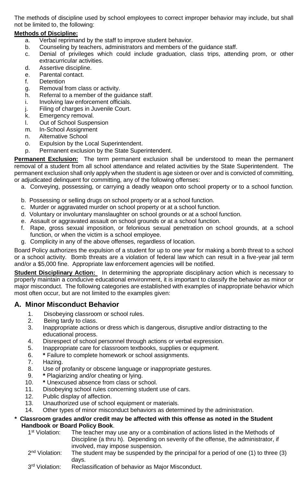The methods of discipline used by school employees to correct improper behavior may include, but shall not be limited to, the following:

#### **Methods of Discipline:**

- a. Verbal reprimand by the staff to improve student behavior.
- b. Counseling by teachers, administrators and members of the guidance staff.
- c. Denial of privileges which could include graduation, class trips, attending prom, or other extracurricular activities.
- d. Assertive discipline.
- e. Parental contact.
- f. Detention
- g. Removal from class or activity.
- h. Referral to a member of the guidance staff.
- i. Involving law enforcement officials.
- j. Filing of charges in Juvenile Court.
- k. Emergency removal.
- l. Out of School Suspension
- m. In-School Assignment
- n. Alternative School
- o. Expulsion by the Local Superintendent.
- p. Permanent exclusion by the State Superintendent.

**Permanent Exclusion:** The term permanent exclusion shall be understood to mean the permanent removal of a student from all school attendance and related activities by the State Superintendent. The permanent exclusion shall only apply when the student is age sixteen or over and is convicted of committing, or adjudicated delinquent for committing, any of the following offenses:

- a. Conveying, possessing, or carrying a deadly weapon onto school property or to a school function.
- b. Possessing or selling drugs on school property or at a school function.
- c. Murder or aggravated murder on school property or at a school function.
- d. Voluntary or involuntary manslaughter on school grounds or at a school function.
- e. Assault or aggravated assault on school grounds or at a school function.
- f. Rape, gross sexual imposition, or felonious sexual penetration on school grounds, at a school function, or when the victim is a school employee.
- g. Complicity in any of the above offenses, regardless of location.

Board Policy authorizes the expulsion of a student for up to one year for making a bomb threat to a school or a school activity. Bomb threats are a violation of federal law which can result in a five-year jail term and/or a \$5,000 fine. Appropriate law enforcement agencies will be notified.

**Student Disciplinary Action:** In determining the appropriate disciplinary action which is necessary to properly maintain a conducive educational environment, it is important to classify the behavior as minor or major misconduct. The following categories are established with examples of inappropriate behavior which most often occur, but are not limited to the examples given:

#### **A.****Minor Misconduct Behavior**

- 1. Disobeying classroom or school rules.
- 2. Being tardy to class.
- 3. Inappropriate actions or dress which is dangerous, disruptive and/or distracting to the educational process.
- 4. Disrespect of school personnel through actions or verbal expression.<br>5. Inappropriate care for classroom textbooks, supplies or equipment.
- 5. Inappropriate care for classroom textbooks, supplies or equipment.
- 6. **\*** Failure to complete homework or school assignments.
- 7. Hazing.
- 8. Use of profanity or obscene language or inappropriate gestures.
- 9. **\*** Plagiarizing and/or cheating or lying.
- 10. **\*** Unexcused absence from class or school.
- 11. Disobeying school rules concerning student use of cars.
- 12. Public display of affection.
- 13. Unauthorized use of school equipment or materials.
- 14. Other types of minor misconduct behaviors as determined by the administration.

#### *\** **Classroom grades and/or credit may be affected with this offense as noted in the Student Handbook or Board Policy Book**.

- 1<sup>st</sup> Violation: The teacher may use any or a combination of actions listed in the Methods of Discipline (a thru h). Depending on severity of the offense, the administrator, if involved, may impose suspension.
- 2<sup>nd</sup> Violation: The student may be suspended by the principal for a period of one  $(1)$  to three  $(3)$ days.
- 3rd Violation: Reclassification of behavior as Major Misconduct.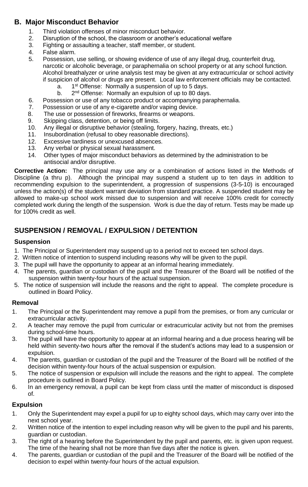#### **B. Major Misconduct Behavior**

- 1. Third violation offenses of minor misconduct behavior.<br>2. Disruption of the school, the classroom or another's ed
- 2. Disruption of the school, the classroom or another's educational welfare<br>3. Eighting or assaulting a teacher staff member or student
- Fighting or assaulting a teacher, staff member, or student.
- 4. False alarm.
- 5. Possession, use selling, or showing evidence of use of any illegal drug, counterfeit drug, narcotic or alcoholic beverage, or paraphernalia on school property or at any school function. Alcohol breathalyzer or urine analysis test may be given at any extracurricular or school activity if suspicion of alcohol or drugs are present. Local law enforcement officials may be contacted.
	- a. 1 1<sup>st</sup> Offense: Normally a suspension of up to 5 days.
	- $b.$ 2<sup>nd</sup> Offense: Normally an expulsion of up to 80 days.
- 6. Possession or use of any tobacco product or accompanying paraphernalia.
- 7. Possession or use of any e-cigarette and/or vaping device.
- 8. The use or possession of fireworks, firearms or weapons.<br>9. Skipping class, detention, or being off limits.
- Skipping class, detention, or being off limits.
- 10. Any illegal or disruptive behavior (stealing, forgery, hazing, threats, etc.)
- 11. Insubordination (refusal to obey reasonable directions).
- 12. Excessive tardiness or unexcused absences.
- 13. Any verbal or physical sexual harassment.
- 14. Other types of major misconduct behaviors as determined by the administration to be antisocial and/or disruptive.

**Corrective Action:** The principal may use any or a combination of actions listed in the Methods of Discipline (a thru p). Although the principal may suspend a student up to ten days in addition to recommending expulsion to the superintendent, a progression of suspensions (3-5-10) is encouraged unless the action(s) of the student warrant deviation from standard practice. A suspended student may be allowed to make-up school work missed due to suspension and will receive 100% credit for correctly completed work during the length of the suspension. Work is due the day of return. Tests may be made up for 100% credit as well.

## **SUSPENSION / REMOVAL / EXPULSION / DETENTION**

#### **Suspension**

- 1. The Principal or Superintendent may suspend up to a period not to exceed ten school days.
- 2. Written notice of intention to suspend including reasons why will be given to the pupil.
- 3. The pupil will have the opportunity to appear at an informal hearing immediately.
- 4. The parents, guardian or custodian of the pupil and the Treasurer of the Board will be notified of the suspension within twenty-four hours of the actual suspension.
- 5. The notice of suspension will include the reasons and the right to appeal. The complete procedure is outlined in Board Policy.

#### **Removal**

- 1. The Principal or the Superintendent may remove a pupil from the premises, or from any curricular or extracurricular activity.
- 2. A teacher may remove the pupil from curricular or extracurricular activity but not from the premises during school-time hours.
- 3. The pupil will have the opportunity to appear at an informal hearing and a due process hearing will be held within seventy-two hours after the removal if the student's actions may lead to a suspension or expulsion.
- 4. The parents, guardian or custodian of the pupil and the Treasurer of the Board will be notified of the decision within twenty-four hours of the actual suspension or expulsion.
- 5. The notice of suspension or expulsion will include the reasons and the right to appeal. The complete procedure is outlined in Board Policy.
- 6. In an emergency removal, a pupil can be kept from class until the matter of misconduct is disposed of.

#### **Expulsion**

- 1. Only the Superintendent may expel a pupil for up to eighty school days, which may carry over into the next school year.
- 2. Written notice of the intention to expel including reason why will be given to the pupil and his parents, guardian or custodian.
- 3. The right of a hearing before the Superintendent by the pupil and parents, etc. is given upon request. The time of the hearing shall not be more than five days after the notice is given.
- 4. The parents, guardian or custodian of the pupil and the Treasurer of the Board will be notified of the decision to expel within twenty-four hours of the actual expulsion.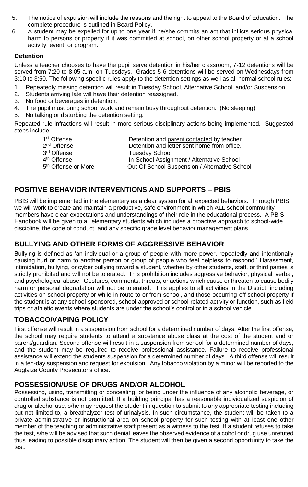- 5. The notice of expulsion will include the reasons and the right to appeal to the Board of Education. The complete procedure is outlined in Board Policy.
- 6. A student may be expelled for up to one year if he/she commits an act that inflicts serious physical harm to persons or property if it was committed at school, on other school property or at a school activity, event, or program.

#### **Detention**

Unless a teacher chooses to have the pupil serve detention in his/her classroom, 7-12 detentions will be served from 7:20 to 8:05 a.m. on Tuesdays. Grades 5-6 detentions will be served on Wednesdays from 3:10 to 3:50. The following specific rules apply to the detention settings as well as all normal school rules:

- 1. Repeatedly missing detention will result in Tuesday School, Alternative School, and/or Suspension.
- 2. Students arriving late will have their detention reassigned.
- 3. No food or beverages in detention.
- 4. The pupil must bring school work and remain busy throughout detention. (No sleeping)
- 5. No talking or disturbing the detention setting.

Repeated rule infractions will result in more serious disciplinary actions being implemented. Suggested steps include:

| 1 <sup>st</sup> Offense         | Detention and parent contacted by teacher.    |
|---------------------------------|-----------------------------------------------|
| 2 <sup>nd</sup> Offense         | Detention and letter sent home from office.   |
| 3 <sup>rd</sup> Offense         | <b>Tuesday School</b>                         |
| 4 <sup>th</sup> Offense         | In-School Assignment / Alternative School     |
| 5 <sup>th</sup> Offense or More | Out-Of-School Suspension / Alternative School |
|                                 |                                               |

#### **POSITIVE BEHAVIOR INTERVENTIONS AND SUPPORTS – PBIS**

PBIS will be implemented in the elementary as a clear system for all expected behaviors. Through PBIS, we will work to create and maintain a productive, safe environment in which ALL school community members have clear expectations and understandings of their role in the educational process. A PBIS Handbook will be given to all elementary students which includes a proactive approach to school-wide discipline, the code of conduct, and any specific grade level behavior management plans.

## **BULLYING AND OTHER FORMS OF AGGRESSIVE BEHAVIOR**

Bullying is defined as 'an individual or a group of people with more power, repeatedly and intentionally causing hurt or harm to another person or group of people who feel helpless to respond.' Harassment, intimidation, bullying, or cyber bullying toward a student, whether by other students, staff, or third parties is strictly prohibited and will not be tolerated. This prohibition includes aggressive behavior, physical, verbal, and psychological abuse. Gestures, comments, threats, or actions which cause or threaten to cause bodily harm or personal degradation will not be tolerated. This applies to all activities in the District, including activities on school property or while in route to or from school, and those occurring off school property if the student is at any school-sponsored, school-approved or school-related activity or function, such as field trips or athletic events where students are under the school's control or in a school vehicle.

#### **TOBACCO/VAPING POLICY**

First offense will result in a suspension from school for a determined number of days. After the first offense, the school may require students to attend a substance abuse class at the cost of the student and or parent/guardian. Second offense will result in a suspension from school for a determined number of days, and the student may be required to receive professional assistance. Failure to receive professional assistance will extend the students suspension for a determined number of days. A third offense will result in a ten-day suspension and request for expulsion. Any tobacco violation by a minor will be reported to the Auglaize County Prosecutor's office.

#### **POSSESSION/USE OF DRUGS AND/OR ALCOHOL**

Possessing, using, transmitting or concealing, or being under the influence of any alcoholic beverage, or controlled substance is not permitted. If a building principal has a reasonable individualized suspicion of drug or alcohol use, s/he may request the student in question to submit to any appropriate testing including but not limited to, a breathalyzer test of urinalysis. In such circumstance, the student will be taken to a private administrative or instructional area on school property for such testing with at least one other member of the teaching or administrative staff present as a witness to the test. If a student refuses to take the test, s/he will be advised that such denial leaves the observed evidence of alcohol or drug use unrefuted thus leading to possible disciplinary action. The student will then be given a second opportunity to take the test.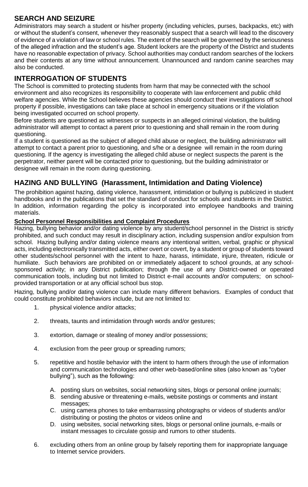## **SEARCH AND SEIZURE**

Administrators may search a student or his/her property (including vehicles, purses, backpacks, etc) with or without the student's consent, whenever they reasonably suspect that a search will lead to the discovery of evidence of a violation of law or school rules. The extent of the search will be governed by the seriousness of the alleged infraction and the student's age. Student lockers are the property of the District and students have no reasonable expectation of privacy. School authorities may conduct random searches of the lockers and their contents at any time without announcement. Unannounced and random canine searches may also be conducted.

## **INTERROGATION OF STUDENTS**

The School is committed to protecting students from harm that may be connected with the school environment and also recognizes its responsibility to cooperate with law enforcement and public child welfare agencies. While the School believes these agencies should conduct their investigations off school property if possible, investigations can take place at school in emergency situations or if the violation being investigated occurred on school property.

Before students are questioned as witnesses or suspects in an alleged criminal violation, the building administrator will attempt to contact a parent prior to questioning and shall remain in the room during questioning.

If a student is questioned as the subject of alleged child abuse or neglect, the building administrator will attempt to contact a parent prior to questioning, and s/he or a designee will remain in the room during questioning. If the agency is investigating the alleged child abuse or neglect suspects the parent is the perpetrator, neither parent will be contacted prior to questioning, but the building administrator or designee will remain in the room during questioning.

## **HAZING AND BULLYING (Harassment, Intimidation and Dating Violence)**

The prohibition against hazing, dating violence, harassment, intimidation or bullying is publicized in student handbooks and in the publications that set the standard of conduct for schools and students in the District. In addition, information regarding the policy is incorporated into employee handbooks and training materials.

#### **School Personnel Responsibilities and Complaint Procedures**

Hazing, bullying behavior and/or dating violence by any student/school personnel in the District is strictly prohibited, and such conduct may result in disciplinary action, including suspension and/or expulsion from school. Hazing bullying and/or dating violence means any intentional written, verbal, graphic or physical acts, including electronically transmitted acts, either overt or covert, by a student or group of students toward other students/school personnel with the intent to haze, harass, intimidate, injure, threaten, ridicule or humiliate. Such behaviors are prohibited on or immediately adjacent to school grounds, at any schoolsponsored activity; in any District publication; through the use of any District-owned or operated communication tools, including but not limited to District e-mail accounts and/or computers; on schoolprovided transportation or at any official school bus stop.

Hazing, bullying and/or dating violence can include many different behaviors. Examples of conduct that could constitute prohibited behaviors include, but are not limited to:

- 1. physical violence and/or attacks;
- 2. threats, taunts and intimidation through words and/or gestures;
- 3. extortion, damage or stealing of money and/or possessions;
- 4. exclusion from the peer group or spreading rumors;
- 5. repetitive and hostile behavior with the intent to harm others through the use of information and communication technologies and other web-based/online sites (also known as "cyber bullying"), such as the following:
	- A. posting slurs on websites, social networking sites, blogs or personal online journals;
	- B. sending abusive or threatening e-mails, website postings or comments and instant messages:
	- C. using camera phones to take embarrassing photographs or videos of students and/or distributing or posting the photos or videos online and
	- D. using websites, social networking sites, blogs or personal online journals, e-mails or instant messages to circulate gossip and rumors to other students.
- 6. excluding others from an online group by falsely reporting them for inappropriate language to Internet service providers.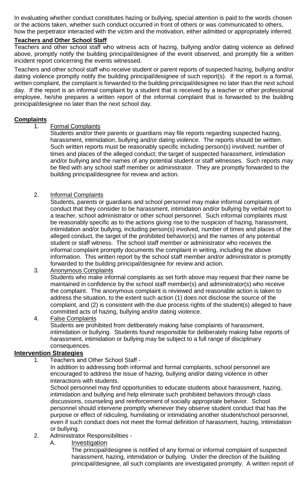In evaluating whether conduct constitutes hazing or bullying, special attention is paid to the words chosen or the actions taken, whether such conduct occurred in front of others or was communicated to others, how the perpetrator interacted with the victim and the motivation, either admitted or appropriately inferred.

#### **Teachers and Other School Staff**

Teachers and other school staff who witness acts of hazing, bullying and/or dating violence as defined above, promptly notify the building principal/designee of the event observed, and promptly file a written incident report concerning the events witnessed.

Teachers and other school staff who receive student or parent reports of suspected hazing, bullying and/or dating violence promptly notify the building principal/designee of such report(s). If the report is a formal, written complaint, the complaint is forwarded to the building principal/designee no later than the next school day. If the report is an informal complaint by a student that is received by a teacher or other professional employee, he/she prepares a written report of the informal complaint that is forwarded to the building principal/designee no later than the next school day.

#### **Complaints**

#### 1. Formal Complaints

Students and/or their parents or guardians may file reports regarding suspected hazing, harassment, intimidation, bullying and/or dating violence. The reports should be written. Such written reports must be reasonably specific including person(s) involved; number of times and places of the alleged conduct; the target of suspected harassment, intimidation and/or bullying and the names of any potential student or staff witnesses. Such reports may be filed with any school staff member or administrator. They are promptly forwarded to the building principal/designee for review and action.

#### 2. Informal Complaints

Students, parents or guardians and school personnel may make informal complaints of conduct that they consider to be harassment, intimidation and/or bullying by verbal report to a teacher, school administrator or other school personnel. Such informal complaints must be reasonably specific as to the actions giving rise to the suspicion of hazing, harassment, intimidation and/or bullying, including person(s) involved, number of times and places of the alleged conduct, the target of the prohibited behavior(s) and the names of any potential student or staff witness. The school staff member or administrator who receives the informal complaint promptly documents the complaint in writing, including the above information. This written report by the school staff member and/or administrator is promptly forwarded to the building principal/designee for review and action.

#### 3. Anonymous Complaints

Students who make informal complaints as set forth above may request that their name be maintained in confidence by the school staff member(s) and administrator(s) who receive the complaint. The anonymous complaint is reviewed and reasonable action is taken to address the situation, to the extent such action (1) does not disclose the source of the complaint, and (2) is consistent with the due process rights of the student(s) alleged to have committed acts of hazing, bullying and/or dating violence.

#### 4. False Complaints

Students are prohibited from deliberately making false complaints of harassment, intimidation or bullying. Students found responsible for deliberately making false reports of harassment, intimidation or bullying may be subject to a full range of disciplinary consequences.

#### **Intervention Strategies**

1. Teachers and Other School Staff -

In addition to addressing both informal and formal complaints, school personnel are encouraged to address the issue of hazing, bullying and/or dating violence in other interactions with students.

School personnel may find opportunities to educate students about harassment, hazing, intimidation and bullying and help eliminate such prohibited behaviors through class discussions, counseling and reinforcement of socially appropriate behavior. School personnel should intervene promptly whenever they observe student conduct that has the purpose or effect of ridiculing, humiliating or intimidating another student/school personnel, even if such conduct does not meet the formal definition of harassment, hazing, intimidation or bullying.

#### 2. Administrator Responsibilities -

A. Investigation

The principal/designee is notified of any formal or informal complaint of suspected harassment, hazing, intimidation or bullying. Under the direction of the building principal/designee, all such complaints are investigated promptly. A written report of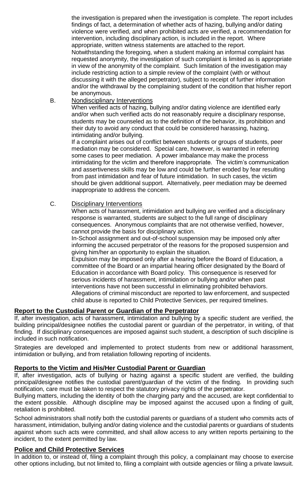the investigation is prepared when the investigation is complete. The report includes findings of fact, a determination of whether acts of hazing, bullying and/or dating violence were verified, and when prohibited acts are verified, a recommendation for intervention, including disciplinary action, is included in the report. Where appropriate, written witness statements are attached to the report. Notwithstanding the foregoing, when a student making an informal complaint has requested anonymity, the investigation of such complaint is limited as is appropriate in view of the anonymity of the complaint. Such limitation of the investigation may include restricting action to a simple review of the complaint (with or without discussing it with the alleged perpetrator), subject to receipt of further information and/or the withdrawal by the complaining student of the condition that his/her report be anonymous.

B. Nondisciplinary Interventions

When verified acts of hazing, bullying and/or dating violence are identified early and/or when such verified acts do not reasonably require a disciplinary response, students may be counseled as to the definition of the behavior, its prohibition and their duty to avoid any conduct that could be considered harassing, hazing, intimidating and/or bullying.

If a complaint arises out of conflict between students or groups of students, peer mediation may be considered. Special care, however, is warranted in referring some cases to peer mediation. A power imbalance may make the process intimidating for the victim and therefore inappropriate. The victim's communication and assertiveness skills may be low and could be further eroded by fear resulting from past intimidation and fear of future intimidation. In such cases, the victim should be given additional support. Alternatively, peer mediation may be deemed inappropriate to address the concern.

#### C. Disciplinary Interventions

When acts of harassment, intimidation and bullying are verified and a disciplinary response is warranted, students are subject to the full range of disciplinary consequences. Anonymous complaints that are not otherwise verified, however, cannot provide the basis for disciplinary action.

In-School assignment and out-of-school suspension may be imposed only after informing the accused perpetrator of the reasons for the proposed suspension and giving him/her an opportunity to explain the situation.

Expulsion may be imposed only after a hearing before the Board of Education, a committee of the Board or an impartial hearing officer designated by the Board of Education in accordance with Board policy. This consequence is reserved for serious incidents of harassment, intimidation or bullying and/or when past interventions have not been successful in eliminating prohibited behaviors. Allegations of criminal misconduct are reported to law enforcement, and suspected child abuse is reported to Child Protective Services, per required timelines.

#### **Report to the Custodial Parent or Guardian of the Perpetrator**

If, after investigation, acts of harassment, intimidation and bullying by a specific student are verified, the building principal/designee notifies the custodial parent or guardian of the perpetrator, in writing, of that finding. If disciplinary consequences are imposed against such student, a description of such discipline is included in such notification.

Strategies are developed and implemented to protect students from new or additional harassment, intimidation or bullying, and from retaliation following reporting of incidents.

#### **Reports to the Victim and His/Her Custodial Parent or Guardian**

If, after investigation, acts of bullying or hazing against a specific student are verified, the building principal/designee notifies the custodial parent/guardian of the victim of the finding. In providing such notification, care must be taken to respect the statutory privacy rights of the perpetrator.

Bullying matters, including the identity of both the charging party and the accused, are kept confidential to the extent possible. Although discipline may be imposed against the accused upon a finding of guilt, retaliation is prohibited.

School administrators shall notify both the custodial parents or guardians of a student who commits acts of harassment, intimidation, bullying and/or dating violence and the custodial parents or guardians of students against whom such acts were committed, and shall allow access to any written reports pertaining to the incident, to the extent permitted by law.

#### **Police and Child Protective Services**

In addition to, or instead of, filing a complaint through this policy, a complainant may choose to exercise other options including, but not limited to, filing a complaint with outside agencies or filing a private lawsuit.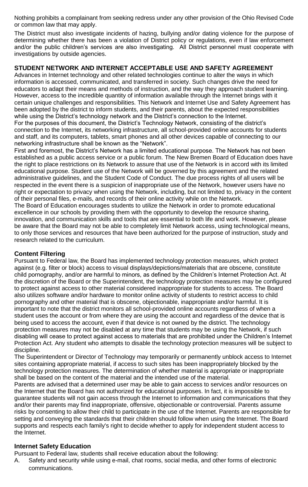Nothing prohibits a complainant from seeking redress under any other provision of the Ohio Revised Code or common law that may apply.

The District must also investigate incidents of hazing, bullying and/or dating violence for the purpose of determining whether there has been a violation of District policy or regulations, even if law enforcement and/or the public children's services are also investigating. All District personnel must cooperate with investigations by outside agencies.

#### **STUDENT NETWORK AND INTERNET ACCEPTABLE USE AND SAFETY AGREEMENT**

Advances in Internet technology and other related technologies continue to alter the ways in which information is accessed, communicated, and transferred in society. Such changes drive the need for educators to adapt their means and methods of instruction, and the way they approach student learning. However, access to the incredible quantity of information available through the Internet brings with it certain unique challenges and responsibilities. This Network and Internet Use and Safety Agreement has been adopted by the district to inform students, and their parents, about the expected responsibilities while using the District's technology network and the District's connection to the Internet.

For the purposes of this document, the District's Technology Network, consisting of the district's connection to the Internet, its networking infrastructure, all school-provided online accounts for students and staff, and its computers, tablets, smart phones and all other devices capable of connecting to our networking infrastructure shall be known as the "Network".

First and foremost, the District's Network has a limited educational purpose. The Network has not been established as a public access service or a public forum. The New Bremen Board of Education does have the right to place restrictions on its Network to assure that use of the Network is in accord with its limited educational purpose. Student use of the Network will be governed by this agreement and the related administrative guidelines, and the Student Code of Conduct. The due process rights of all users will be respected in the event there is a suspicion of inappropriate use of the Network, however users have no right or expectation to privacy when using the Network, including, but not limited to, privacy in the content of their personal files, e-mails, and records of their online activity while on the Network.

The Board of Education encourages students to utilize the Network in order to promote educational excellence in our schools by providing them with the opportunity to develop the resource sharing, innovation, and communication skills and tools that are essential to both life and work. However, please be aware that the Board may not be able to completely limit Network access, using technological means, to only those services and resources that have been authorized for the purpose of instruction, study and research related to the curriculum.

#### **Content Filtering**

Pursuant to Federal law, the Board has implemented technology protection measures, which protect against (e.g. filter or block) access to visual displays/depictions/materials that are obscene, constitute child pornography, and/or are harmful to minors, as defined by the Children's Internet Protection Act. At the discretion of the Board or the Superintendent, the technology protection measures may be configured to protect against access to other material considered inappropriate for students to access. The Board also utilizes software and/or hardware to monitor online activity of students to restrict access to child pornography and other material that is obscene, objectionable, inappropriate and/or harmful. It is important to note that the district monitors all school-provided online accounts regardless of when a student uses the account or from where they are using the account and regardless of the device that is being used to access the account, even if that device is not owned by the district. The technology protection measures may not be disabled at any time that students may be using the Network, if such disabling will cease to protect against access to materials that are prohibited under the Children's Internet Protection Act. Any student who attempts to disable the technology protection measures will be subject to discipline.

The Superintendent or Director of Technology may temporarily or permanently unblock access to Internet sites containing appropriate material, if access to such sites has been inappropriately blocked by the technology protection measures. The determination of whether material is appropriate or inappropriate shall be based on the content of the material and the intended use of the material.

Parents are advised that a determined user may be able to gain access to services and/or resources on the Internet that the Board has not authorized for educational purposes. In fact, it is impossible to guarantee students will not gain access through the Internet to information and communications that they and/or their parents may find inappropriate, offensive, objectionable or controversial. Parents assume risks by consenting to allow their child to participate in the use of the Internet. Parents are responsible for setting and conveying the standards that their children should follow when using the Internet. The Board supports and respects each family's right to decide whether to apply for independent student access to the Internet.

#### **Internet Safety Education**

Pursuant to Federal law, students shall receive education about the following:

A. Safety and security while using e-mail, chat rooms, social media, and other forms of electronic communications.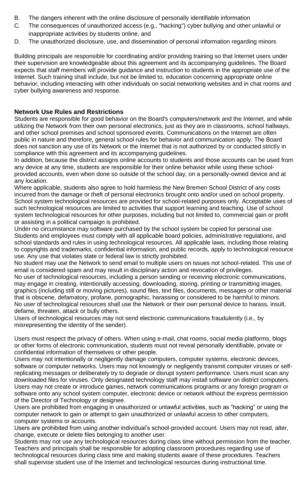- B. The dangers inherent with the online disclosure of personally identifiable information
- C. The consequences of unauthorized access (e.g., "hacking") cyber bullying and other unlawful or inappropriate activities by students online, and
- D. The unauthorized disclosure, use, and dissemination of personal information regarding minors

Building principals are responsible for coordinating and/or providing training so that Internet users under their supervision are knowledgeable about this agreement and its accompanying guidelines. The Board expects that staff members will provide guidance and instruction to students in the appropriate use of the Internet. Such training shall include, but not be limited to, education concerning appropriate online behavior, including interacting with other individuals on social networking websites and in chat rooms and cyber bullying awareness and response.

#### **Network Use Rules and Restrictions**

Students are responsible for good behavior on the Board's computers/network and the Internet, and while utilizing the Network from their own personal electronics, just as they are in classrooms, school hallways, and other school premises and school sponsored events. Communications on the Internet are often public in nature and therefore, general school rules for behavior and communication apply. The Board does not sanction any use of its Network or the Internet that is not authorized by or conducted strictly in compliance with this agreement and its accompanying guidelines.

In addition, because the district assigns online accounts to students and those accounts can be used from any device at any time, students are responsible for their online behavior while using these schoolprovided accounts, even when done so outside of the school day, on a personally-owned device and at any location.

Where applicable, students also agree to hold harmless the New Bremen School District of any costs incurred from the damage or theft of personal electronics brought onto and/or used on school property. School system technological resources are provided for school-related purposes only. Acceptable uses of such technological resources are limited to activities that support learning and teaching. Use of school system technological resources for other purposes, including but not limited to, commercial gain or profit or assisting in a political campaign is prohibited.

Under no circumstance may software purchased by the school system be copied for personal use. Students and employees must comply with all applicable board policies, administrative regulations, and school standards and rules in using technological resources. All applicable laws, including those relating to copyrights and trademarks, confidential information, and public records, apply to technological resource use. Any use that violates state or federal law is strictly prohibited.

No student may use the Network to send email to multiple users on issues not school-related. This use of email is considered spam and may result in disciplinary action and revocation of privileges.

No user of technological resources, including a person sending or receiving electronic communications, may engage in creating, intentionally accessing, downloading, storing, printing or transmitting images, graphics (including still or moving pictures), sound files, text files, documents, messages or other material that is obscene, defamatory, profane, pornographic, harassing or considered to be harmful to minors. No user of technological resources shall use the Network or their own personal device to harass, insult, defame, threaten, attack or bully others.

Users of technological resources may not send electronic communications fraudulently (i.e., by misrepresenting the identity of the sender).

Users must respect the privacy of others. When using e-mail, chat rooms, social media platforms, blogs or other forms of electronic communication, students must not reveal personally identifiable, private or confidential information of themselves or other people.

Users may not intentionally or negligently damage computers, computer systems, electronic devices, software or computer networks. Users may not knowingly or negligently transmit computer viruses or selfreplicating messages or deliberately try to degrade or disrupt system performance. Users must scan any downloaded files for viruses. Only designated technology staff may install software on district computers. Users may not create or introduce games, network communications programs or any foreign program or software onto any school system computer, electronic device or network without the express permission of the Director of Technology or designee.

Users are prohibited from engaging in unauthorized or unlawful activities, such as "hacking" or using the computer network to gain or attempt to gain unauthorized or unlawful access to other computers, computer systems or accounts.

Users are prohibited from using another individual's school-provided account. Users may not read, alter, change, execute or delete files belonging to another user.

Students may not use any technological resources during class time without permission from the teacher. Teachers and principals shall be responsible for adopting classroom procedures regarding use of technological resources during class time and making students aware of these procedures. Teachers shall supervise student use of the Internet and technological resources during instructional time.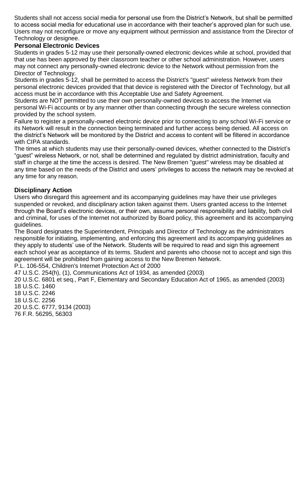Students shall not access social media for personal use from the District's Network, but shall be permitted to access social media for educational use in accordance with their teacher's approved plan for such use. Users may not reconfigure or move any equipment without permission and assistance from the Director of Technology or designee.

#### **Personal Electronic Devices**

Students in grades 5-12 may use their personally-owned electronic devices while at school, provided that that use has been approved by their classroom teacher or other school administration. However, users may not connect any personally-owned electronic device to the Network without permission from the Director of Technology.

Students in grades 5-12, shall be permitted to access the District's "guest" wireless Network from their personal electronic devices provided that that device is registered with the Director of Technology, but all access must be in accordance with this Acceptable Use and Safety Agreement.

Students are NOT permitted to use their own personally-owned devices to access the Internet via personal Wi-Fi accounts or by any manner other than connecting through the secure wireless connection provided by the school system.

Failure to register a personally-owned electronic device prior to connecting to any school Wi-Fi service or its Network will result in the connection being terminated and further access being denied. All access on the district's Network will be monitored by the District and access to content will be filtered in accordance with CIPA standards.

The times at which students may use their personally-owned devices, whether connected to the District's "guest" wireless Network, or not, shall be determined and regulated by district administration, faculty and staff in charge at the time the access is desired. The New Bremen "guest" wireless may be disabled at any time based on the needs of the District and users' privileges to access the network may be revoked at any time for any reason.

#### **Disciplinary Action**

Users who disregard this agreement and its accompanying guidelines may have their use privileges suspended or revoked, and disciplinary action taken against them. Users granted access to the Internet through the Board's electronic devices, or their own, assume personal responsibility and liability, both civil and criminal, for uses of the Internet not authorized by Board policy, this agreement and its accompanying guidelines.

The Board designates the Superintendent, Principals and Director of Technology as the administrators responsible for initiating, implementing, and enforcing this agreement and its accompanying guidelines as they apply to students' use of the Network. Students will be required to read and sign this agreement each school year as acceptance of its terms. Student and parents who choose not to accept and sign this agreement will be prohibited from gaining access to the New Bremen Network.

P.L. 106-554, Children's Internet Protection Act of 2000

47 U.S.C. 254(h), (1), Communications Act of 1934, as amended (2003)

20 U.S.C. 6801 et seq., Part F, Elementary and Secondary Education Act of 1965, as amended (2003) 18 U.S.C. 1460

18 U.S.C. 2246

18 U.S.C. 2256

20 U.S.C. 6777, 9134 (2003) 76 F.R. 56295, 56303